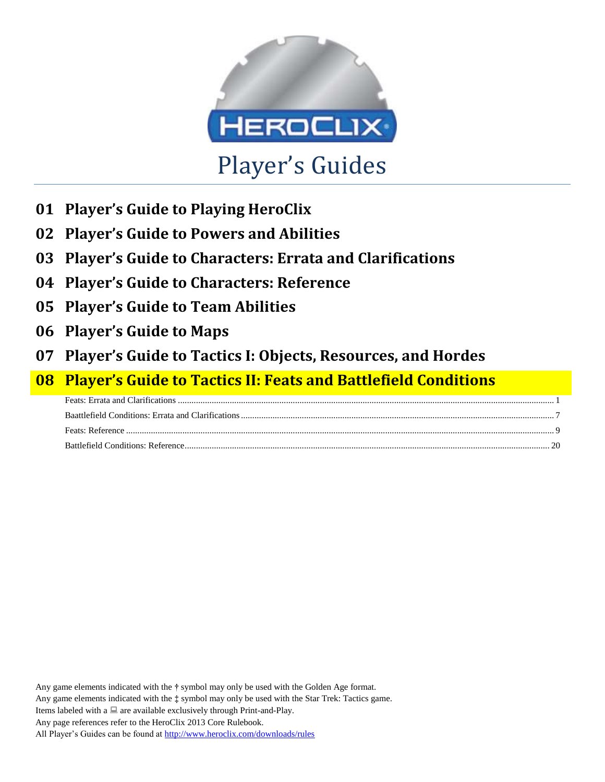

- **01 Player's Guide to Playing HeroClix**
- **02 Player's Guide to Powers and Abilities**
- **03 Player's Guide to Characters: Errata and Clarifications**
- **04 Player's Guide to Characters: Reference**
- **05 Player's Guide to Team Abilities**
- **06 Player's Guide to Maps**
- **07 Player's Guide to Tactics I: Objects, Resources, and Hordes**

# **08 Player's Guide to Tactics II: Feats and Battlefield Conditions**

Any game elements indicated with the **†** symbol may only be used with the Golden Age format. Any game elements indicated with the **‡** symbol may only be used with the Star Trek: Tactics game. Items labeled with a  $\Box$  are available exclusively through Print-and-Play. Any page references refer to the HeroClix 2013 Core Rulebook. All Player's Guides can be found a[t http://www.heroclix.com/downloads/rules](http://www.heroclix.com/downloads/rules)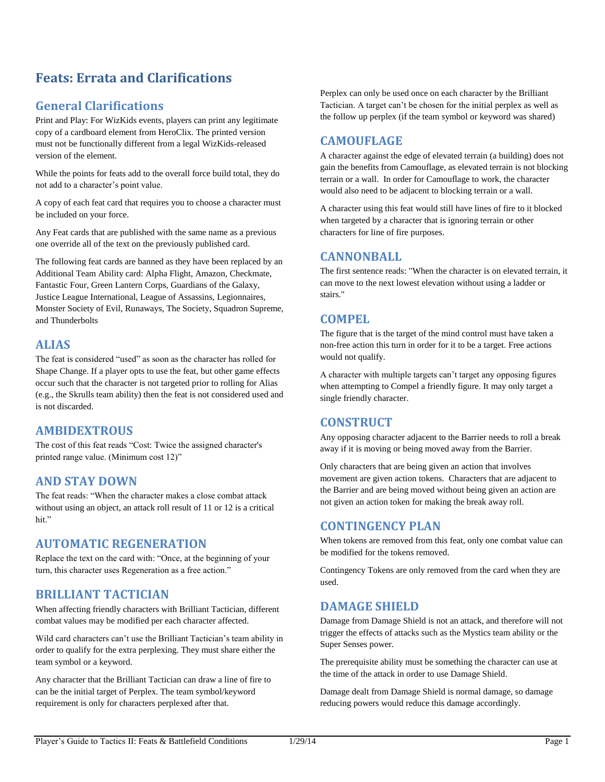# <span id="page-1-0"></span>**Feats: Errata and Clarifications**

# **General Clarifications**

Print and Play: For WizKids events, players can print any legitimate copy of a cardboard element from HeroClix. The printed version must not be functionally different from a legal WizKids-released version of the element.

While the points for feats add to the overall force build total, they do not add to a character's point value.

A copy of each feat card that requires you to choose a character must be included on your force.

Any Feat cards that are published with the same name as a previous one override all of the text on the previously published card.

The following feat cards are banned as they have been replaced by an Additional Team Ability card: Alpha Flight, Amazon, Checkmate, Fantastic Four, Green Lantern Corps, Guardians of the Galaxy, Justice League International, League of Assassins, Legionnaires, Monster Society of Evil, Runaways, The Society, Squadron Supreme, and Thunderbolts

## **ALIAS**

The feat is considered "used" as soon as the character has rolled for Shape Change. If a player opts to use the feat, but other game effects occur such that the character is not targeted prior to rolling for Alias (e.g., the Skrulls team ability) then the feat is not considered used and is not discarded.

# **AMBIDEXTROUS**

The cost of this feat reads "Cost: Twice the assigned character's printed range value. (Minimum cost 12)"

# **AND STAY DOWN**

The feat reads: "When the character makes a close combat attack without using an object, an attack roll result of 11 or 12 is a critical hit."

## **AUTOMATIC REGENERATION**

Replace the text on the card with: "Once, at the beginning of your turn, this character uses Regeneration as a free action."

# **BRILLIANT TACTICIAN**

When affecting friendly characters with Brilliant Tactician, different combat values may be modified per each character affected.

Wild card characters can't use the Brilliant Tactician's team ability in order to qualify for the extra perplexing. They must share either the team symbol or a keyword.

Any character that the Brilliant Tactician can draw a line of fire to can be the initial target of Perplex. The team symbol/keyword requirement is only for characters perplexed after that.

Perplex can only be used once on each character by the Brilliant Tactician. A target can't be chosen for the initial perplex as well as the follow up perplex (if the team symbol or keyword was shared)

## **CAMOUFLAGE**

A character against the edge of elevated terrain (a building) does not gain the benefits from Camouflage, as elevated terrain is not blocking terrain or a wall. In order for Camouflage to work, the character would also need to be adjacent to blocking terrain or a wall.

A character using this feat would still have lines of fire to it blocked when targeted by a character that is ignoring terrain or other characters for line of fire purposes.

## **CANNONBALL**

The first sentence reads: "When the character is on elevated terrain, it can move to the next lowest elevation without using a ladder or stairs."

## **COMPEL**

The figure that is the target of the mind control must have taken a non-free action this turn in order for it to be a target. Free actions would not qualify.

A character with multiple targets can't target any opposing figures when attempting to Compel a friendly figure. It may only target a single friendly character.

# **CONSTRUCT**

Any opposing character adjacent to the Barrier needs to roll a break away if it is moving or being moved away from the Barrier.

Only characters that are being given an action that involves movement are given action tokens. Characters that are adjacent to the Barrier and are being moved without being given an action are not given an action token for making the break away roll.

## **CONTINGENCY PLAN**

When tokens are removed from this feat, only one combat value can be modified for the tokens removed.

Contingency Tokens are only removed from the card when they are used.

# **DAMAGE SHIELD**

Damage from Damage Shield is not an attack, and therefore will not trigger the effects of attacks such as the Mystics team ability or the Super Senses power.

The prerequisite ability must be something the character can use at the time of the attack in order to use Damage Shield.

Damage dealt from Damage Shield is normal damage, so damage reducing powers would reduce this damage accordingly.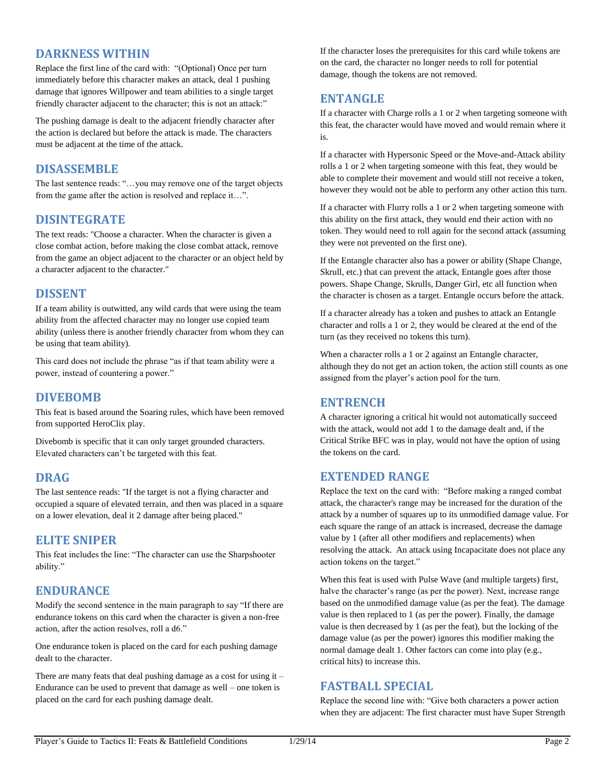## **DARKNESS WITHIN**

Replace the first line of the card with: "(Optional) Once per turn immediately before this character makes an attack, deal 1 pushing damage that ignores Willpower and team abilities to a single target friendly character adjacent to the character; this is not an attack:"

The pushing damage is dealt to the adjacent friendly character after the action is declared but before the attack is made. The characters must be adjacent at the time of the attack.

## **DISASSEMBLE**

The last sentence reads: "…you may remove one of the target objects from the game after the action is resolved and replace it…".

## **DISINTEGRATE**

The text reads: "Choose a character. When the character is given a close combat action, before making the close combat attack, remove from the game an object adjacent to the character or an object held by a character adjacent to the character."

## **DISSENT**

If a team ability is outwitted, any wild cards that were using the team ability from the affected character may no longer use copied team ability (unless there is another friendly character from whom they can be using that team ability).

This card does not include the phrase "as if that team ability were a power, instead of countering a power."

## **DIVEBOMB**

This feat is based around the Soaring rules, which have been removed from supported HeroClix play.

Divebomb is specific that it can only target grounded characters. Elevated characters can't be targeted with this feat.

## **DRAG**

The last sentence reads: "If the target is not a flying character and occupied a square of elevated terrain, and then was placed in a square on a lower elevation, deal it 2 damage after being placed."

## **ELITE SNIPER**

This feat includes the line: "The character can use the Sharpshooter ability."

## **ENDURANCE**

Modify the second sentence in the main paragraph to say "If there are endurance tokens on this card when the character is given a non-free action, after the action resolves, roll a d6."

One endurance token is placed on the card for each pushing damage dealt to the character.

There are many feats that deal pushing damage as a cost for using it – Endurance can be used to prevent that damage as well – one token is placed on the card for each pushing damage dealt.

If the character loses the prerequisites for this card while tokens are on the card, the character no longer needs to roll for potential damage, though the tokens are not removed.

## **ENTANGLE**

If a character with Charge rolls a 1 or 2 when targeting someone with this feat, the character would have moved and would remain where it is.

If a character with Hypersonic Speed or the Move-and-Attack ability rolls a 1 or 2 when targeting someone with this feat, they would be able to complete their movement and would still not receive a token, however they would not be able to perform any other action this turn.

If a character with Flurry rolls a 1 or 2 when targeting someone with this ability on the first attack, they would end their action with no token. They would need to roll again for the second attack (assuming they were not prevented on the first one).

If the Entangle character also has a power or ability (Shape Change, Skrull, etc.) that can prevent the attack, Entangle goes after those powers. Shape Change, Skrulls, Danger Girl, etc all function when the character is chosen as a target. Entangle occurs before the attack.

If a character already has a token and pushes to attack an Entangle character and rolls a 1 or 2, they would be cleared at the end of the turn (as they received no tokens this turn).

When a character rolls a 1 or 2 against an Entangle character, although they do not get an action token, the action still counts as one assigned from the player's action pool for the turn.

## **ENTRENCH**

A character ignoring a critical hit would not automatically succeed with the attack, would not add 1 to the damage dealt and, if the Critical Strike BFC was in play, would not have the option of using the tokens on the card.

## **EXTENDED RANGE**

Replace the text on the card with: "Before making a ranged combat attack, the character's range may be increased for the duration of the attack by a number of squares up to its unmodified damage value. For each square the range of an attack is increased, decrease the damage value by 1 (after all other modifiers and replacements) when resolving the attack. An attack using Incapacitate does not place any action tokens on the target."

When this feat is used with Pulse Wave (and multiple targets) first, halve the character's range (as per the power). Next, increase range based on the unmodified damage value (as per the feat). The damage value is then replaced to 1 (as per the power). Finally, the damage value is then decreased by 1 (as per the feat), but the locking of the damage value (as per the power) ignores this modifier making the normal damage dealt 1. Other factors can come into play (e.g., critical hits) to increase this.

## **FASTBALL SPECIAL**

Replace the second line with: "Give both characters a power action when they are adjacent: The first character must have Super Strength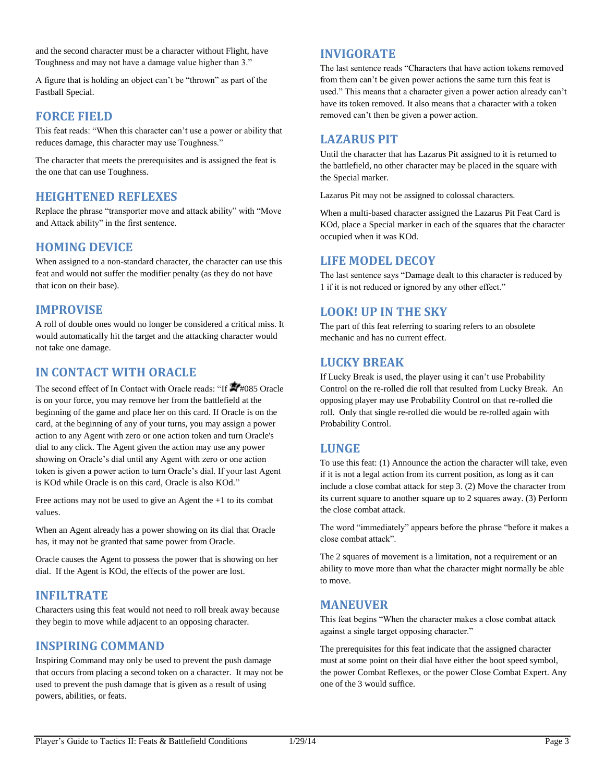and the second character must be a character without Flight, have Toughness and may not have a damage value higher than 3."

A figure that is holding an object can't be "thrown" as part of the Fastball Special.

## **FORCE FIELD**

This feat reads: "When this character can't use a power or ability that reduces damage, this character may use Toughness."

The character that meets the prerequisites and is assigned the feat is the one that can use Toughness.

## **HEIGHTENED REFLEXES**

Replace the phrase "transporter move and attack ability" with "Move and Attack ability" in the first sentence.

## **HOMING DEVICE**

When assigned to a non-standard character, the character can use this feat and would not suffer the modifier penalty (as they do not have that icon on their base).

## **IMPROVISE**

A roll of double ones would no longer be considered a critical miss. It would automatically hit the target and the attacking character would not take one damage.

# **IN CONTACT WITH ORACLE**

The second effect of In Contact with Oracle reads: "If  $\blacktriangleright$ #085 Oracle is on your force, you may remove her from the battlefield at the beginning of the game and place her on this card. If Oracle is on the card, at the beginning of any of your turns, you may assign a power action to any Agent with zero or one action token and turn Oracle's dial to any click. The Agent given the action may use any power showing on Oracle's dial until any Agent with zero or one action token is given a power action to turn Oracle's dial. If your last Agent is KOd while Oracle is on this card, Oracle is also KOd."

Free actions may not be used to give an Agent the +1 to its combat values.

When an Agent already has a power showing on its dial that Oracle has, it may not be granted that same power from Oracle.

Oracle causes the Agent to possess the power that is showing on her dial. If the Agent is KOd, the effects of the power are lost.

# **INFILTRATE**

Characters using this feat would not need to roll break away because they begin to move while adjacent to an opposing character.

## **INSPIRING COMMAND**

Inspiring Command may only be used to prevent the push damage that occurs from placing a second token on a character. It may not be used to prevent the push damage that is given as a result of using powers, abilities, or feats.

## **INVIGORATE**

The last sentence reads "Characters that have action tokens removed from them can't be given power actions the same turn this feat is used." This means that a character given a power action already can't have its token removed. It also means that a character with a token removed can't then be given a power action.

## **LAZARUS PIT**

Until the character that has Lazarus Pit assigned to it is returned to the battlefield, no other character may be placed in the square with the Special marker.

Lazarus Pit may not be assigned to colossal characters.

When a multi-based character assigned the Lazarus Pit Feat Card is KOd, place a Special marker in each of the squares that the character occupied when it was KOd.

## **LIFE MODEL DECOY**

The last sentence says "Damage dealt to this character is reduced by 1 if it is not reduced or ignored by any other effect."

## **LOOK! UP IN THE SKY**

The part of this feat referring to soaring refers to an obsolete mechanic and has no current effect.

## **LUCKY BREAK**

If Lucky Break is used, the player using it can't use Probability Control on the re-rolled die roll that resulted from Lucky Break. An opposing player may use Probability Control on that re-rolled die roll. Only that single re-rolled die would be re-rolled again with Probability Control.

## **LUNGE**

To use this feat: (1) Announce the action the character will take, even if it is not a legal action from its current position, as long as it can include a close combat attack for step 3. (2) Move the character from its current square to another square up to 2 squares away. (3) Perform the close combat attack.

The word "immediately" appears before the phrase "before it makes a close combat attack".

The 2 squares of movement is a limitation, not a requirement or an ability to move more than what the character might normally be able to move.

## **MANEUVER**

This feat begins "When the character makes a close combat attack against a single target opposing character."

The prerequisites for this feat indicate that the assigned character must at some point on their dial have either the boot speed symbol, the power Combat Reflexes, or the power Close Combat Expert. Any one of the 3 would suffice.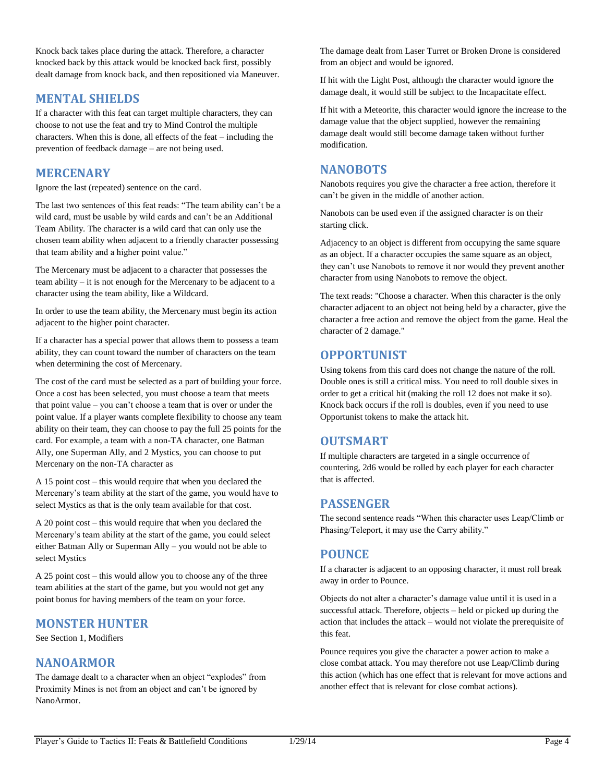Knock back takes place during the attack. Therefore, a character knocked back by this attack would be knocked back first, possibly dealt damage from knock back, and then repositioned via Maneuver.

# **MENTAL SHIELDS**

If a character with this feat can target multiple characters, they can choose to not use the feat and try to Mind Control the multiple characters. When this is done, all effects of the feat – including the prevention of feedback damage – are not being used.

## **MERCENARY**

Ignore the last (repeated) sentence on the card.

The last two sentences of this feat reads: "The team ability can't be a wild card, must be usable by wild cards and can't be an Additional Team Ability. The character is a wild card that can only use the chosen team ability when adjacent to a friendly character possessing that team ability and a higher point value."

The Mercenary must be adjacent to a character that possesses the team ability – it is not enough for the Mercenary to be adjacent to a character using the team ability, like a Wildcard.

In order to use the team ability, the Mercenary must begin its action adjacent to the higher point character.

If a character has a special power that allows them to possess a team ability, they can count toward the number of characters on the team when determining the cost of Mercenary.

The cost of the card must be selected as a part of building your force. Once a cost has been selected, you must choose a team that meets that point value – you can't choose a team that is over or under the point value. If a player wants complete flexibility to choose any team ability on their team, they can choose to pay the full 25 points for the card. For example, a team with a non-TA character, one Batman Ally, one Superman Ally, and 2 Mystics, you can choose to put Mercenary on the non-TA character as

A 15 point cost – this would require that when you declared the Mercenary's team ability at the start of the game, you would have to select Mystics as that is the only team available for that cost.

A 20 point cost – this would require that when you declared the Mercenary's team ability at the start of the game, you could select either Batman Ally or Superman Ally – you would not be able to select Mystics

A 25 point cost – this would allow you to choose any of the three team abilities at the start of the game, but you would not get any point bonus for having members of the team on your force.

# **MONSTER HUNTER**

See Section 1, Modifiers

# **NANOARMOR**

The damage dealt to a character when an object "explodes" from Proximity Mines is not from an object and can't be ignored by NanoArmor.

The damage dealt from Laser Turret or Broken Drone is considered from an object and would be ignored.

If hit with the Light Post, although the character would ignore the damage dealt, it would still be subject to the Incapacitate effect.

If hit with a Meteorite, this character would ignore the increase to the damage value that the object supplied, however the remaining damage dealt would still become damage taken without further modification.

## **NANOBOTS**

Nanobots requires you give the character a free action, therefore it can't be given in the middle of another action.

Nanobots can be used even if the assigned character is on their starting click.

Adjacency to an object is different from occupying the same square as an object. If a character occupies the same square as an object, they can't use Nanobots to remove it nor would they prevent another character from using Nanobots to remove the object.

The text reads: "Choose a character. When this character is the only character adjacent to an object not being held by a character, give the character a free action and remove the object from the game. Heal the character of 2 damage."

# **OPPORTUNIST**

Using tokens from this card does not change the nature of the roll. Double ones is still a critical miss. You need to roll double sixes in order to get a critical hit (making the roll 12 does not make it so). Knock back occurs if the roll is doubles, even if you need to use Opportunist tokens to make the attack hit.

# **OUTSMART**

If multiple characters are targeted in a single occurrence of countering, 2d6 would be rolled by each player for each character that is affected.

# **PASSENGER**

The second sentence reads "When this character uses Leap/Climb or Phasing/Teleport, it may use the Carry ability."

# **POUNCE**

If a character is adjacent to an opposing character, it must roll break away in order to Pounce.

Objects do not alter a character's damage value until it is used in a successful attack. Therefore, objects – held or picked up during the action that includes the attack – would not violate the prerequisite of this feat.

Pounce requires you give the character a power action to make a close combat attack. You may therefore not use Leap/Climb during this action (which has one effect that is relevant for move actions and another effect that is relevant for close combat actions).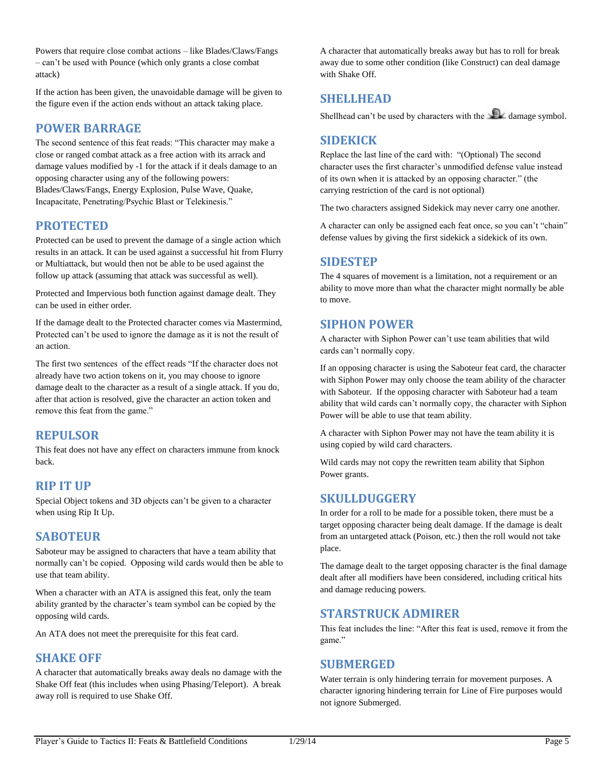Powers that require close combat actions – like Blades/Claws/Fangs – can't be used with Pounce (which only grants a close combat attack)

If the action has been given, the unavoidable damage will be given to the figure even if the action ends without an attack taking place.

## **POWER BARRAGE**

The second sentence of this feat reads: "This character may make a close or ranged combat attack as a free action with its arrack and damage values modified by -1 for the attack if it deals damage to an opposing character using any of the following powers: Blades/Claws/Fangs, Energy Explosion, Pulse Wave, Quake, Incapacitate, Penetrating/Psychic Blast or Telekinesis."

## **PROTECTED**

Protected can be used to prevent the damage of a single action which results in an attack. It can be used against a successful hit from Flurry or Multiattack, but would then not be able to be used against the follow up attack (assuming that attack was successful as well).

Protected and Impervious both function against damage dealt. They can be used in either order.

If the damage dealt to the Protected character comes via Mastermind, Protected can't be used to ignore the damage as it is not the result of an action.

The first two sentences of the effect reads "If the character does not already have two action tokens on it, you may choose to ignore damage dealt to the character as a result of a single attack. If you do, after that action is resolved, give the character an action token and remove this feat from the game."

## **REPULSOR**

This feat does not have any effect on characters immune from knock back.

## **RIP IT UP**

Special Object tokens and 3D objects can't be given to a character when using Rip It Up.

## **SABOTEUR**

Saboteur may be assigned to characters that have a team ability that normally can't be copied. Opposing wild cards would then be able to use that team ability.

When a character with an ATA is assigned this feat, only the team ability granted by the character's team symbol can be copied by the opposing wild cards.

An ATA does not meet the prerequisite for this feat card.

## **SHAKE OFF**

A character that automatically breaks away deals no damage with the Shake Off feat (this includes when using Phasing/Teleport). A break away roll is required to use Shake Off.

A character that automatically breaks away but has to roll for break away due to some other condition (like Construct) can deal damage with Shake Off.

## **SHELLHEAD**

Shellhead can't be used by characters with the  $\Box$  damage symbol.

## **SIDEKICK**

Replace the last line of the card with: "(Optional) The second character uses the first character's unmodified defense value instead of its own when it is attacked by an opposing character." (the carrying restriction of the card is not optional)

The two characters assigned Sidekick may never carry one another.

A character can only be assigned each feat once, so you can't "chain" defense values by giving the first sidekick a sidekick of its own.

## **SIDESTEP**

The 4 squares of movement is a limitation, not a requirement or an ability to move more than what the character might normally be able to move.

## **SIPHON POWER**

A character with Siphon Power can't use team abilities that wild cards can't normally copy.

If an opposing character is using the Saboteur feat card, the character with Siphon Power may only choose the team ability of the character with Saboteur. If the opposing character with Saboteur had a team ability that wild cards can't normally copy, the character with Siphon Power will be able to use that team ability.

A character with Siphon Power may not have the team ability it is using copied by wild card characters.

Wild cards may not copy the rewritten team ability that Siphon Power grants.

## **SKULLDUGGERY**

In order for a roll to be made for a possible token, there must be a target opposing character being dealt damage. If the damage is dealt from an untargeted attack (Poison, etc.) then the roll would not take place.

The damage dealt to the target opposing character is the final damage dealt after all modifiers have been considered, including critical hits and damage reducing powers.

## **STARSTRUCK ADMIRER**

This feat includes the line: "After this feat is used, remove it from the game."

## **SUBMERGED**

Water terrain is only hindering terrain for movement purposes. A character ignoring hindering terrain for Line of Fire purposes would not ignore Submerged.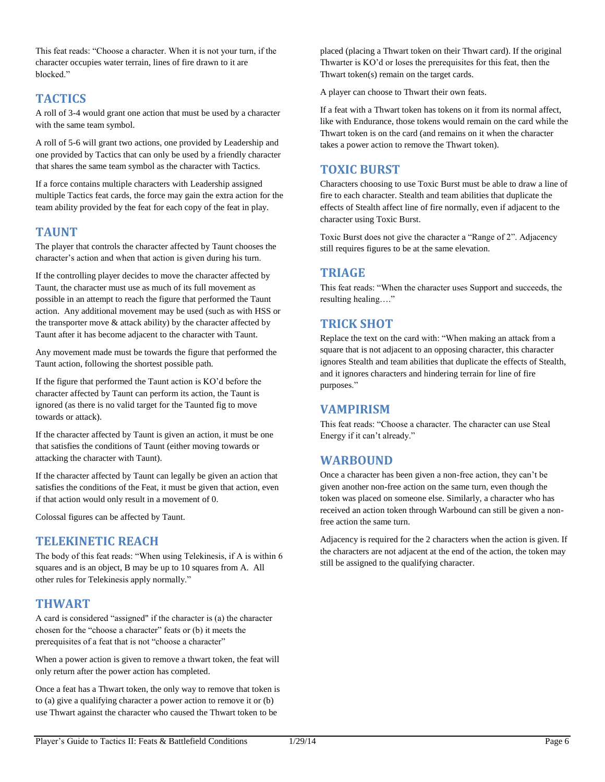This feat reads: "Choose a character. When it is not your turn, if the character occupies water terrain, lines of fire drawn to it are blocked."

# **TACTICS**

A roll of 3-4 would grant one action that must be used by a character with the same team symbol.

A roll of 5-6 will grant two actions, one provided by Leadership and one provided by Tactics that can only be used by a friendly character that shares the same team symbol as the character with Tactics.

If a force contains multiple characters with Leadership assigned multiple Tactics feat cards, the force may gain the extra action for the team ability provided by the feat for each copy of the feat in play.

## **TAUNT**

The player that controls the character affected by Taunt chooses the character's action and when that action is given during his turn.

If the controlling player decides to move the character affected by Taunt, the character must use as much of its full movement as possible in an attempt to reach the figure that performed the Taunt action. Any additional movement may be used (such as with HSS or the transporter move & attack ability) by the character affected by Taunt after it has become adjacent to the character with Taunt.

Any movement made must be towards the figure that performed the Taunt action, following the shortest possible path.

If the figure that performed the Taunt action is KO'd before the character affected by Taunt can perform its action, the Taunt is ignored (as there is no valid target for the Taunted fig to move towards or attack).

If the character affected by Taunt is given an action, it must be one that satisfies the conditions of Taunt (either moving towards or attacking the character with Taunt).

If the character affected by Taunt can legally be given an action that satisfies the conditions of the Feat, it must be given that action, even if that action would only result in a movement of 0.

Colossal figures can be affected by Taunt.

## **TELEKINETIC REACH**

The body of this feat reads: "When using Telekinesis, if A is within 6 squares and is an object, B may be up to 10 squares from A. All other rules for Telekinesis apply normally."

## **THWART**

A card is considered "assigned" if the character is (a) the character chosen for the "choose a character" feats or (b) it meets the prerequisites of a feat that is not "choose a character"

When a power action is given to remove a thwart token, the feat will only return after the power action has completed.

Once a feat has a Thwart token, the only way to remove that token is to (a) give a qualifying character a power action to remove it or (b) use Thwart against the character who caused the Thwart token to be

placed (placing a Thwart token on their Thwart card). If the original Thwarter is KO'd or loses the prerequisites for this feat, then the Thwart token(s) remain on the target cards.

A player can choose to Thwart their own feats.

If a feat with a Thwart token has tokens on it from its normal affect, like with Endurance, those tokens would remain on the card while the Thwart token is on the card (and remains on it when the character takes a power action to remove the Thwart token).

## **TOXIC BURST**

Characters choosing to use Toxic Burst must be able to draw a line of fire to each character. Stealth and team abilities that duplicate the effects of Stealth affect line of fire normally, even if adjacent to the character using Toxic Burst.

Toxic Burst does not give the character a "Range of 2". Adjacency still requires figures to be at the same elevation.

## **TRIAGE**

This feat reads: "When the character uses Support and succeeds, the resulting healing…."

# **TRICK SHOT**

Replace the text on the card with: "When making an attack from a square that is not adjacent to an opposing character, this character ignores Stealth and team abilities that duplicate the effects of Stealth, and it ignores characters and hindering terrain for line of fire purposes."

## **VAMPIRISM**

This feat reads: "Choose a character. The character can use Steal Energy if it can't already."

## **WARBOUND**

Once a character has been given a non-free action, they can't be given another non-free action on the same turn, even though the token was placed on someone else. Similarly, a character who has received an action token through Warbound can still be given a nonfree action the same turn.

Adjacency is required for the 2 characters when the action is given. If the characters are not adjacent at the end of the action, the token may still be assigned to the qualifying character.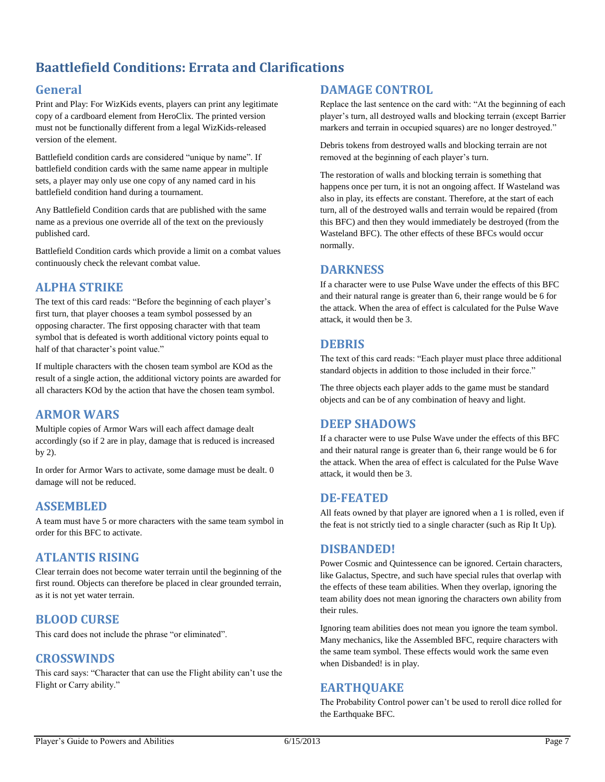# <span id="page-7-0"></span>**Baattlefield Conditions: Errata and Clarifications**

# **General**

Print and Play: For WizKids events, players can print any legitimate copy of a cardboard element from HeroClix. The printed version must not be functionally different from a legal WizKids-released version of the element.

Battlefield condition cards are considered "unique by name". If battlefield condition cards with the same name appear in multiple sets, a player may only use one copy of any named card in his battlefield condition hand during a tournament.

Any Battlefield Condition cards that are published with the same name as a previous one override all of the text on the previously published card.

Battlefield Condition cards which provide a limit on a combat values continuously check the relevant combat value.

# **ALPHA STRIKE**

The text of this card reads: "Before the beginning of each player's first turn, that player chooses a team symbol possessed by an opposing character. The first opposing character with that team symbol that is defeated is worth additional victory points equal to half of that character's point value."

If multiple characters with the chosen team symbol are KOd as the result of a single action, the additional victory points are awarded for all characters KOd by the action that have the chosen team symbol.

# **ARMOR WARS**

Multiple copies of Armor Wars will each affect damage dealt accordingly (so if 2 are in play, damage that is reduced is increased by 2).

In order for Armor Wars to activate, some damage must be dealt. 0 damage will not be reduced.

# **ASSEMBLED**

A team must have 5 or more characters with the same team symbol in order for this BFC to activate.

## **ATLANTIS RISING**

Clear terrain does not become water terrain until the beginning of the first round. Objects can therefore be placed in clear grounded terrain, as it is not yet water terrain.

## **BLOOD CURSE**

This card does not include the phrase "or eliminated".

## **CROSSWINDS**

This card says: "Character that can use the Flight ability can't use the Flight or Carry ability."

## **DAMAGE CONTROL**

Replace the last sentence on the card with: "At the beginning of each player's turn, all destroyed walls and blocking terrain (except Barrier markers and terrain in occupied squares) are no longer destroyed."

Debris tokens from destroyed walls and blocking terrain are not removed at the beginning of each player's turn.

The restoration of walls and blocking terrain is something that happens once per turn, it is not an ongoing affect. If Wasteland was also in play, its effects are constant. Therefore, at the start of each turn, all of the destroyed walls and terrain would be repaired (from this BFC) and then they would immediately be destroyed (from the Wasteland BFC). The other effects of these BFCs would occur normally.

## **DARKNESS**

If a character were to use Pulse Wave under the effects of this BFC and their natural range is greater than 6, their range would be 6 for the attack. When the area of effect is calculated for the Pulse Wave attack, it would then be 3.

## **DEBRIS**

The text of this card reads: "Each player must place three additional standard objects in addition to those included in their force."

The three objects each player adds to the game must be standard objects and can be of any combination of heavy and light.

# **DEEP SHADOWS**

If a character were to use Pulse Wave under the effects of this BFC and their natural range is greater than 6, their range would be 6 for the attack. When the area of effect is calculated for the Pulse Wave attack, it would then be 3.

## **DE-FEATED**

All feats owned by that player are ignored when a 1 is rolled, even if the feat is not strictly tied to a single character (such as Rip It Up).

## **DISBANDED!**

Power Cosmic and Quintessence can be ignored. Certain characters, like Galactus, Spectre, and such have special rules that overlap with the effects of these team abilities. When they overlap, ignoring the team ability does not mean ignoring the characters own ability from their rules.

Ignoring team abilities does not mean you ignore the team symbol. Many mechanics, like the Assembled BFC, require characters with the same team symbol. These effects would work the same even when Disbanded! is in play.

# **EARTHQUAKE**

The Probability Control power can't be used to reroll dice rolled for the Earthquake BFC.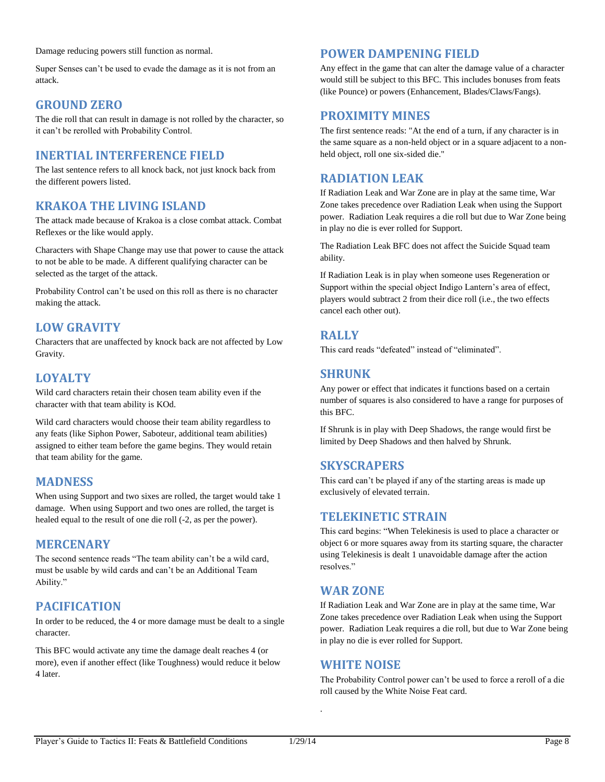Damage reducing powers still function as normal.

Super Senses can't be used to evade the damage as it is not from an attack.

# **GROUND ZERO**

The die roll that can result in damage is not rolled by the character, so it can't be rerolled with Probability Control.

## **INERTIAL INTERFERENCE FIELD**

The last sentence refers to all knock back, not just knock back from the different powers listed.

# **KRAKOA THE LIVING ISLAND**

The attack made because of Krakoa is a close combat attack. Combat Reflexes or the like would apply.

Characters with Shape Change may use that power to cause the attack to not be able to be made. A different qualifying character can be selected as the target of the attack.

Probability Control can't be used on this roll as there is no character making the attack.

# **LOW GRAVITY**

Characters that are unaffected by knock back are not affected by Low Gravity.

## **LOYALTY**

Wild card characters retain their chosen team ability even if the character with that team ability is KOd.

Wild card characters would choose their team ability regardless to any feats (like Siphon Power, Saboteur, additional team abilities) assigned to either team before the game begins. They would retain that team ability for the game.

## **MADNESS**

When using Support and two sixes are rolled, the target would take 1 damage. When using Support and two ones are rolled, the target is healed equal to the result of one die roll (-2, as per the power).

## **MERCENARY**

The second sentence reads "The team ability can't be a wild card, must be usable by wild cards and can't be an Additional Team Ability."

# **PACIFICATION**

In order to be reduced, the 4 or more damage must be dealt to a single character.

This BFC would activate any time the damage dealt reaches 4 (or more), even if another effect (like Toughness) would reduce it below 4 later.

# **POWER DAMPENING FIELD**

Any effect in the game that can alter the damage value of a character would still be subject to this BFC. This includes bonuses from feats (like Pounce) or powers (Enhancement, Blades/Claws/Fangs).

## **PROXIMITY MINES**

The first sentence reads: "At the end of a turn, if any character is in the same square as a non-held object or in a square adjacent to a nonheld object, roll one six-sided die."

## **RADIATION LEAK**

If Radiation Leak and War Zone are in play at the same time, War Zone takes precedence over Radiation Leak when using the Support power. Radiation Leak requires a die roll but due to War Zone being in play no die is ever rolled for Support.

The Radiation Leak BFC does not affect the Suicide Squad team ability.

If Radiation Leak is in play when someone uses Regeneration or Support within the special object Indigo Lantern's area of effect, players would subtract 2 from their dice roll (i.e., the two effects cancel each other out).

## **RALLY**

This card reads "defeated" instead of "eliminated".

## **SHRUNK**

Any power or effect that indicates it functions based on a certain number of squares is also considered to have a range for purposes of this BFC.

If Shrunk is in play with Deep Shadows, the range would first be limited by Deep Shadows and then halved by Shrunk.

# **SKYSCRAPERS**

This card can't be played if any of the starting areas is made up exclusively of elevated terrain.

## **TELEKINETIC STRAIN**

This card begins: "When Telekinesis is used to place a character or object 6 or more squares away from its starting square, the character using Telekinesis is dealt 1 unavoidable damage after the action resolves."

## **WAR ZONE**

If Radiation Leak and War Zone are in play at the same time, War Zone takes precedence over Radiation Leak when using the Support power. Radiation Leak requires a die roll, but due to War Zone being in play no die is ever rolled for Support.

## **WHITE NOISE**

The Probability Control power can't be used to force a reroll of a die roll caused by the White Noise Feat card.

.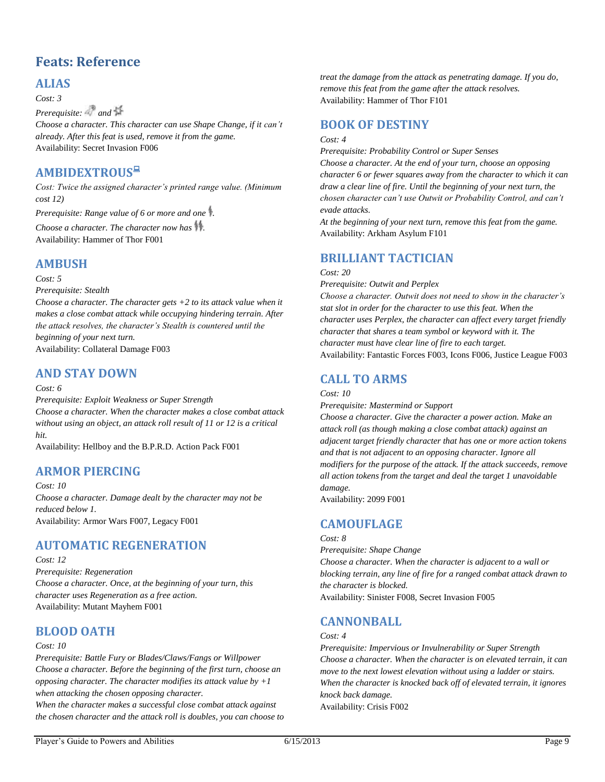# <span id="page-9-0"></span>**Feats: Reference**

# **ALIAS**

*Cost: 3*

*Prerequisite:* and  $\frac{1}{2}$ 

*Choose a character. This character can use Shape Change, if it can't already. After this feat is used, remove it from the game.* Availability: Secret Invasion F006

# **AMBIDEXTROUS**

*Cost: Twice the assigned character's printed range value. (Minimum cost 12)*

*Prerequisite: Range value of 6 or more and one .*

*Choose a character. The character now has .* Availability: Hammer of Thor F001

# **AMBUSH**

*Cost: 5*

*Prerequisite: Stealth*

*Choose a character. The character gets +2 to its attack value when it makes a close combat attack while occupying hindering terrain. After the attack resolves, the character's Stealth is countered until the beginning of your next turn.* Availability: Collateral Damage F003

## **AND STAY DOWN**

### *Cost: 6*

*Prerequisite: Exploit Weakness or Super Strength Choose a character. When the character makes a close combat attack without using an object, an attack roll result of 11 or 12 is a critical hit.*

Availability: Hellboy and the B.P.R.D. Action Pack F001

# **ARMOR PIERCING**

*Cost: 10 Choose a character. Damage dealt by the character may not be reduced below 1.* Availability: Armor Wars F007, Legacy F001

# **AUTOMATIC REGENERATION**

*Cost: 12*

*Prerequisite: Regeneration Choose a character. Once, at the beginning of your turn, this character uses Regeneration as a free action.* Availability: Mutant Mayhem F001

# **BLOOD OATH**

### *Cost: 10*

*Prerequisite: Battle Fury or Blades/Claws/Fangs or Willpower Choose a character. Before the beginning of the first turn, choose an opposing character. The character modifies its attack value by +1 when attacking the chosen opposing character.*

*When the character makes a successful close combat attack against the chosen character and the attack roll is doubles, you can choose to*  *treat the damage from the attack as penetrating damage. If you do, remove this feat from the game after the attack resolves.* Availability: Hammer of Thor F101

## **BOOK OF DESTINY**

### *Cost: 4*

*Prerequisite: Probability Control or Super Senses*

*Choose a character. At the end of your turn, choose an opposing character 6 or fewer squares away from the character to which it can draw a clear line of fire. Until the beginning of your next turn, the chosen character can't use Outwit or Probability Control, and can't evade attacks.*

*At the beginning of your next turn, remove this feat from the game.* Availability: Arkham Asylum F101

## **BRILLIANT TACTICIAN**

### *Cost: 20*

*Prerequisite: Outwit and Perplex Choose a character. Outwit does not need to show in the character's stat slot in order for the character to use this feat. When the character uses Perplex, the character can affect every target friendly character that shares a team symbol or keyword with it. The character must have clear line of fire to each target.* Availability: Fantastic Forces F003, Icons F006, Justice League F003

# **CALL TO ARMS**

### *Cost: 10*

*Prerequisite: Mastermind or Support*

*Choose a character. Give the character a power action. Make an attack roll (as though making a close combat attack) against an adjacent target friendly character that has one or more action tokens and that is not adjacent to an opposing character. Ignore all modifiers for the purpose of the attack. If the attack succeeds, remove all action tokens from the target and deal the target 1 unavoidable damage.*

Availability: 2099 F001

# **CAMOUFLAGE**

### *Cost: 8*

*Prerequisite: Shape Change Choose a character. When the character is adjacent to a wall or blocking terrain, any line of fire for a ranged combat attack drawn to the character is blocked.*

Availability: Sinister F008, Secret Invasion F005

# **CANNONBALL**

### *Cost: 4*

*Prerequisite: Impervious or Invulnerability or Super Strength Choose a character. When the character is on elevated terrain, it can move to the next lowest elevation without using a ladder or stairs. When the character is knocked back off of elevated terrain, it ignores knock back damage.* Availability: Crisis F002

Player's Guide to Powers and Abilities 6/15/2013 Page 9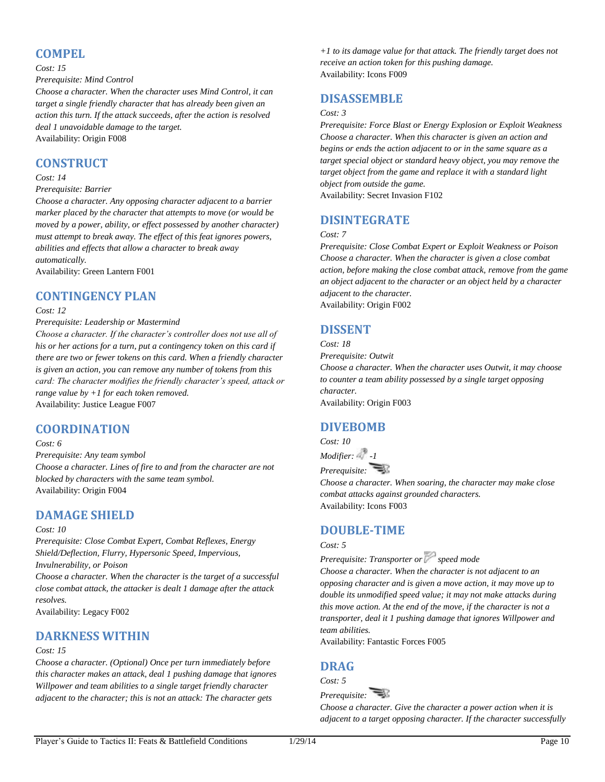## **COMPEL**

#### *Cost: 15*

### *Prerequisite: Mind Control*

*Choose a character. When the character uses Mind Control, it can target a single friendly character that has already been given an action this turn. If the attack succeeds, after the action is resolved deal 1 unavoidable damage to the target.* Availability: Origin F008

## **CONSTRUCT**

#### *Cost: 14*

### *Prerequisite: Barrier*

*Choose a character. Any opposing character adjacent to a barrier marker placed by the character that attempts to move (or would be moved by a power, ability, or effect possessed by another character) must attempt to break away. The effect of this feat ignores powers, abilities and effects that allow a character to break away automatically.*

Availability: Green Lantern F001

## **CONTINGENCY PLAN**

### *Cost: 12*

*Prerequisite: Leadership or Mastermind*

*Choose a character. If the character's controller does not use all of his or her actions for a turn, put a contingency token on this card if there are two or fewer tokens on this card. When a friendly character is given an action, you can remove any number of tokens from this card: The character modifies the friendly character's speed, attack or range value by +1 for each token removed.*  Availability: Justice League F007

## **COORDINATION**

### *Cost: 6*

*Prerequisite: Any team symbol Choose a character. Lines of fire to and from the character are not blocked by characters with the same team symbol.* Availability: Origin F004

## **DAMAGE SHIELD**

#### *Cost: 10*

*Prerequisite: Close Combat Expert, Combat Reflexes, Energy Shield/Deflection, Flurry, Hypersonic Speed, Impervious, Invulnerability, or Poison*

*Choose a character. When the character is the target of a successful close combat attack, the attacker is dealt 1 damage after the attack resolves.*

Availability: Legacy F002

## **DARKNESS WITHIN**

### *Cost: 15*

*Choose a character. (Optional) Once per turn immediately before this character makes an attack, deal 1 pushing damage that ignores Willpower and team abilities to a single target friendly character adjacent to the character; this is not an attack: The character gets* 

*+1 to its damage value for that attack. The friendly target does not receive an action token for this pushing damage.* Availability: Icons F009

# **DISASSEMBLE**

### *Cost: 3*

*Prerequisite: Force Blast or Energy Explosion or Exploit Weakness Choose a character. When this character is given an action and begins or ends the action adjacent to or in the same square as a target special object or standard heavy object, you may remove the target object from the game and replace it with a standard light object from outside the game.*

Availability: Secret Invasion F102

# **DISINTEGRATE**

### *Cost: 7*

*Prerequisite: Close Combat Expert or Exploit Weakness or Poison Choose a character. When the character is given a close combat action, before making the close combat attack, remove from the game an object adjacent to the character or an object held by a character adjacent to the character.* Availability: Origin F002

# **DISSENT**

*Cost: 18 Prerequisite: Outwit Choose a character. When the character uses Outwit, it may choose to counter a team ability possessed by a single target opposing character.* Availability: Origin F003

# **DIVEBOMB**

*Cost: 10*

*Modifier: 2* -1 *Prerequisite:* 

*Choose a character. When soaring, the character may make close combat attacks against grounded characters.* Availability: Icons F003

# **DOUBLE-TIME**

### *Cost: 5*

*Prerequisite: Transporter or speed mode*

*Choose a character. When the character is not adjacent to an opposing character and is given a move action, it may move up to double its unmodified speed value; it may not make attacks during this move action. At the end of the move, if the character is not a transporter, deal it 1 pushing damage that ignores Willpower and team abilities.*

Availability: Fantastic Forces F005

## **DRAG**

*Cost: 5*

*Prerequisite:* 

*Choose a character. Give the character a power action when it is adjacent to a target opposing character. If the character successfully*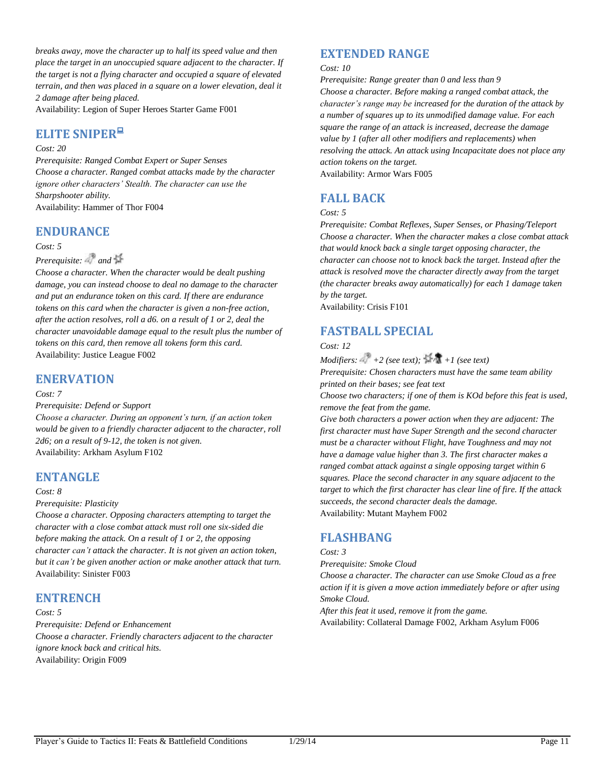*breaks away, move the character up to half its speed value and then place the target in an unoccupied square adjacent to the character. If the target is not a flying character and occupied a square of elevated terrain, and then was placed in a square on a lower elevation, deal it 2 damage after being placed.*

Availability: Legion of Super Heroes Starter Game F001

# **ELITE SNIPER**

### *Cost: 20*

*Prerequisite: Ranged Combat Expert or Super Senses Choose a character. Ranged combat attacks made by the character ignore other characters' Stealth. The character can use the Sharpshooter ability.* Availability: Hammer of Thor F004

## **ENDURANCE**

### *Cost: 5*

*Prerequisite:* and  $\mathbb{H}$ 

*Choose a character. When the character would be dealt pushing damage, you can instead choose to deal no damage to the character and put an endurance token on this card. If there are endurance tokens on this card when the character is given a non-free action, after the action resolves, roll a d6. on a result of 1 or 2, deal the character unavoidable damage equal to the result plus the number of tokens on this card, then remove all tokens form this card.* Availability: Justice League F002

## **ENERVATION**

#### *Cost: 7*

#### *Prerequisite: Defend or Support*

*Choose a character. During an opponent's turn, if an action token would be given to a friendly character adjacent to the character, roll 2d6; on a result of 9-12, the token is not given.* Availability: Arkham Asylum F102

## **ENTANGLE**

#### *Cost: 8*

### *Prerequisite: Plasticity*

*Choose a character. Opposing characters attempting to target the character with a close combat attack must roll one six-sided die before making the attack. On a result of 1 or 2, the opposing character can't attack the character. It is not given an action token, but it can't be given another action or make another attack that turn.* Availability: Sinister F003

## **ENTRENCH**

*Cost: 5*

*Prerequisite: Defend or Enhancement Choose a character. Friendly characters adjacent to the character ignore knock back and critical hits.* Availability: Origin F009

## **EXTENDED RANGE**

#### *Cost: 10*

*Prerequisite: Range greater than 0 and less than 9 Choose a character. Before making a ranged combat attack, the character's range may be increased for the duration of the attack by a number of squares up to its unmodified damage value. For each square the range of an attack is increased, decrease the damage value by 1 (after all other modifiers and replacements) when resolving the attack. An attack using Incapacitate does not place any action tokens on the target.*

Availability: Armor Wars F005

# **FALL BACK**

### *Cost: 5*

*Prerequisite: Combat Reflexes, Super Senses, or Phasing/Teleport Choose a character. When the character makes a close combat attack that would knock back a single target opposing character, the character can choose not to knock back the target. Instead after the attack is resolved move the character directly away from the target (the character breaks away automatically) for each 1 damage taken by the target.*

Availability: Crisis F101

# **FASTBALL SPECIAL**

*Cost: 12*

*Modifiers:*  $+2$  (see text);  $+1$  (see text) *Prerequisite: Chosen characters must have the same team ability printed on their bases; see feat text*

*Choose two characters; if one of them is KOd before this feat is used, remove the feat from the game.*

*Give both characters a power action when they are adjacent: The first character must have Super Strength and the second character must be a character without Flight, have Toughness and may not have a damage value higher than 3. The first character makes a ranged combat attack against a single opposing target within 6 squares. Place the second character in any square adjacent to the target to which the first character has clear line of fire. If the attack succeeds, the second character deals the damage.*  Availability: Mutant Mayhem F002

## **FLASHBANG**

### *Cost: 3*

*Prerequisite: Smoke Cloud*

*Choose a character. The character can use Smoke Cloud as a free action if it is given a move action immediately before or after using Smoke Cloud.*

*After this feat it used, remove it from the game.* Availability: Collateral Damage F002, Arkham Asylum F006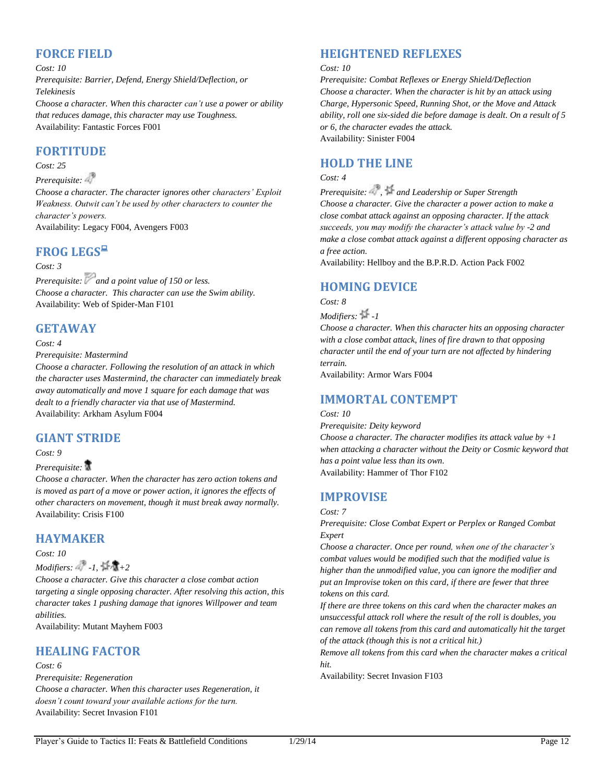# **FORCE FIELD**

*Cost: 10*

*Prerequisite: Barrier, Defend, Energy Shield/Deflection, or Telekinesis*

*Choose a character. When this character can't use a power or ability that reduces damage, this character may use Toughness.* Availability: Fantastic Forces F001

# **FORTITUDE**

### *Cost: 25*

*Prerequisite:* 

*Choose a character. The character ignores other characters' Exploit Weakness. Outwit can't be used by other characters to counter the character's powers.* Availability: Legacy F004, Avengers F003

**FROG LEGS**

### *Cost: 3*

*Prerequisite:* and a point value of 150 or less. *Choose a character. This character can use the Swim ability.* Availability: Web of Spider-Man F101

# **GETAWAY**

*Cost: 4*

*Prerequisite: Mastermind*

*Choose a character. Following the resolution of an attack in which the character uses Mastermind, the character can immediately break away automatically and move 1 square for each damage that was dealt to a friendly character via that use of Mastermind.* Availability: Arkham Asylum F004

# **GIANT STRIDE**

*Cost: 9*

### *Prerequisite:*

*Choose a character. When the character has zero action tokens and is moved as part of a move or power action, it ignores the effects of other characters on movement, though it must break away normally.* Availability: Crisis F100

# **HAYMAKER**

*Cost: 10*

*Modifiers:*  $\cdot$  *-1,*  $\frac{1}{2}$   $\frac{1}{2}$ 

*Choose a character. Give this character a close combat action targeting a single opposing character. After resolving this action, this character takes 1 pushing damage that ignores Willpower and team abilities.*

Availability: Mutant Mayhem F003

## **HEALING FACTOR**

### *Cost: 6*

*Prerequisite: Regeneration Choose a character. When this character uses Regeneration, it doesn't count toward your available actions for the turn.* Availability: Secret Invasion F101

# **HEIGHTENED REFLEXES**

### *Cost: 10*

*Prerequisite: Combat Reflexes or Energy Shield/Deflection Choose a character. When the character is hit by an attack using Charge, Hypersonic Speed, Running Shot, or the Move and Attack ability, roll one six-sided die before damage is dealt. On a result of 5 or 6, the character evades the attack.* Availability: Sinister F004

# **HOLD THE LINE**

### *Cost: 4*

*Prerequisite: , and Leadership or Super Strength Choose a character. Give the character a power action to make a close combat attack against an opposing character. If the attack succeeds, you may modify the character's attack value by -2 and make a close combat attack against a different opposing character as a free action.*

Availability: Hellboy and the B.P.R.D. Action Pack F002

# **HOMING DEVICE**

*Cost: 8*

*Modifiers: -1*

*Choose a character. When this character hits an opposing character with a close combat attack, lines of fire drawn to that opposing character until the end of your turn are not affected by hindering terrain.*

Availability: Armor Wars F004

# **IMMORTAL CONTEMPT**

### *Cost: 10*

*Prerequisite: Deity keyword Choose a character. The character modifies its attack value by +1 when attacking a character without the Deity or Cosmic keyword that has a point value less than its own.* Availability: Hammer of Thor F102

# **IMPROVISE**

*Prerequisite: Close Combat Expert or Perplex or Ranged Combat Expert*

*Choose a character. Once per round, when one of the character's combat values would be modified such that the modified value is higher than the unmodified value, you can ignore the modifier and put an Improvise token on this card, if there are fewer that three tokens on this card.*

*If there are three tokens on this card when the character makes an unsuccessful attack roll where the result of the roll is doubles, you can remove all tokens from this card and automatically hit the target of the attack (though this is not a critical hit.)*

*Remove all tokens from this card when the character makes a critical hit.*

Availability: Secret Invasion F103

*Cost: 7*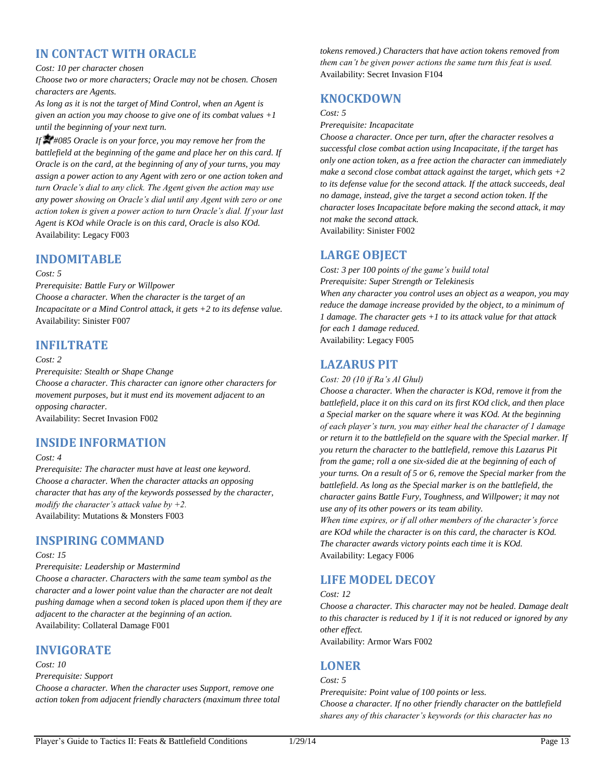# **IN CONTACT WITH ORACLE**

### *Cost: 10 per character chosen*

*Choose two or more characters; Oracle may not be chosen. Chosen characters are Agents.* 

*As long as it is not the target of Mind Control, when an Agent is given an action you may choose to give one of its combat values +1 until the beginning of your next turn.*

*If #085 Oracle is on your force, you may remove her from the battlefield at the beginning of the game and place her on this card. If Oracle is on the card, at the beginning of any of your turns, you may assign a power action to any Agent with zero or one action token and turn Oracle's dial to any click. The Agent given the action may use any power showing on Oracle's dial until any Agent with zero or one action token is given a power action to turn Oracle's dial. If your last Agent is KOd while Oracle is on this card, Oracle is also KOd.* Availability: Legacy F003

### **INDOMITABLE**

#### *Cost: 5*

*Prerequisite: Battle Fury or Willpower Choose a character. When the character is the target of an Incapacitate or a Mind Control attack, it gets +2 to its defense value.* Availability: Sinister F007

## **INFILTRATE**

### *Cost: 2*

*Prerequisite: Stealth or Shape Change Choose a character. This character can ignore other characters for movement purposes, but it must end its movement adjacent to an opposing character.*

Availability: Secret Invasion F002

## **INSIDE INFORMATION**

### *Cost: 4*

*Prerequisite: The character must have at least one keyword. Choose a character. When the character attacks an opposing character that has any of the keywords possessed by the character, modify the character's attack value by +2.* Availability: Mutations & Monsters F003

# **INSPIRING COMMAND**

### *Cost: 15*

*Prerequisite: Leadership or Mastermind Choose a character. Characters with the same team symbol as the character and a lower point value than the character are not dealt* 

*pushing damage when a second token is placed upon them if they are adjacent to the character at the beginning of an action.* Availability: Collateral Damage F001

## **INVIGORATE**

#### *Cost: 10*

*Prerequisite: Support Choose a character. When the character uses Support, remove one action token from adjacent friendly characters (maximum three total*  *tokens removed.) Characters that have action tokens removed from them can't be given power actions the same turn this feat is used.* Availability: Secret Invasion F104

## **KNOCKDOWN**

## *Cost: 5*

### *Prerequisite: Incapacitate*

*Choose a character. Once per turn, after the character resolves a successful close combat action using Incapacitate, if the target has only one action token, as a free action the character can immediately make a second close combat attack against the target, which gets +2*  to its defense value for the second attack. If the attack succeeds, deal *no damage, instead, give the target a second action token. If the character loses Incapacitate before making the second attack, it may not make the second attack.*

Availability: Sinister F002

## **LARGE OBJECT**

*Cost: 3 per 100 points of the game's build total Prerequisite: Super Strength or Telekinesis When any character you control uses an object as a weapon, you may reduce the damage increase provided by the object, to a minimum of 1 damage. The character gets +1 to its attack value for that attack for each 1 damage reduced.* Availability: Legacy F005

# **LAZARUS PIT**

### *Cost: 20 (10 if Ra's Al Ghul)*

*Choose a character. When the character is KOd, remove it from the battlefield, place it on this card on its first KOd click, and then place a Special marker on the square where it was KOd. At the beginning of each player's turn, you may either heal the character of 1 damage or return it to the battlefield on the square with the Special marker. If you return the character to the battlefield, remove this Lazarus Pit from the game; roll a one six-sided die at the beginning of each of your turns. On a result of 5 or 6, remove the Special marker from the battlefield. As long as the Special marker is on the battlefield, the character gains Battle Fury, Toughness, and Willpower; it may not use any of its other powers or its team ability.*

*When time expires, or if all other members of the character's force are KOd while the character is on this card, the character is KOd. The character awards victory points each time it is KOd.* Availability: Legacy F006

# **LIFE MODEL DECOY**

### *Cost: 12*

*Choose a character. This character may not be healed. Damage dealt to this character is reduced by 1 if it is not reduced or ignored by any other effect.*

Availability: Armor Wars F002

## **LONER**

*Cost: 5*

*Prerequisite: Point value of 100 points or less. Choose a character. If no other friendly character on the battlefield shares any of this character's keywords (or this character has no*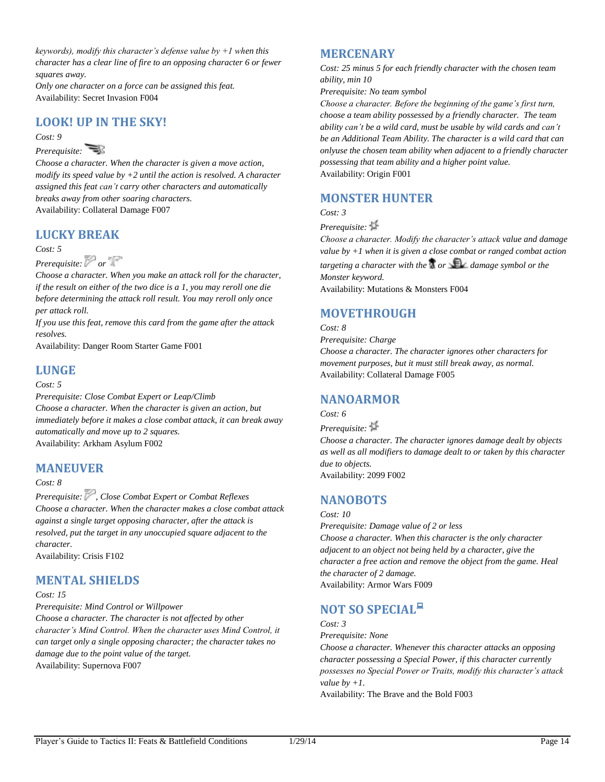*keywords), modify this character's defense value by +1 when this character has a clear line of fire to an opposing character 6 or fewer squares away.*

*Only one character on a force can be assigned this feat.* Availability: Secret Invasion F004

# **LOOK! UP IN THE SKY!**

*Cost: 9*

### *Prerequisite:*

*Choose a character. When the character is given a move action, modify its speed value by +2 until the action is resolved. A character assigned this feat can't carry other characters and automatically breaks away from other soaring characters.*  Availability: Collateral Damage F007

# **LUCKY BREAK**

*Cost: 5*

## *Prerequisite: or*

*Choose a character. When you make an attack roll for the character, if the result on either of the two dice is a 1, you may reroll one die before determining the attack roll result. You may reroll only once per attack roll.* 

*If you use this feat, remove this card from the game after the attack resolves.*

Availability: Danger Room Starter Game F001

## **LUNGE**

### *Cost: 5*

*Prerequisite: Close Combat Expert or Leap/Climb Choose a character. When the character is given an action, but immediately before it makes a close combat attack, it can break away automatically and move up to 2 squares.* Availability: Arkham Asylum F002

# **MANEUVER**

### *Cost: 8*

*Prerequisite: , Close Combat Expert or Combat Reflexes Choose a character. When the character makes a close combat attack against a single target opposing character, after the attack is resolved, put the target in any unoccupied square adjacent to the character.*

Availability: Crisis F102

# **MENTAL SHIELDS**

### *Cost: 15*

*Prerequisite: Mind Control or Willpower*

*Choose a character. The character is not affected by other character's Mind Control. When the character uses Mind Control, it can target only a single opposing character; the character takes no damage due to the point value of the target.* Availability: Supernova F007

# **MERCENARY**

*Cost: 25 minus 5 for each friendly character with the chosen team ability, min 10*

*Prerequisite: No team symbol*

*Choose a character. Before the beginning of the game's first turn, choose a team ability possessed by a friendly character. The team ability can't be a wild card, must be usable by wild cards and can't be an Additional Team Ability. The character is a wild card that can onlyuse the chosen team ability when adjacent to a friendly character possessing that team ability and a higher point value.* Availability: Origin F001

# **MONSTER HUNTER**

*Cost: 3*

### *Prerequisite:*

*Choose a character. Modify the character's attack value and damage value by +1 when it is given a close combat or ranged combat action targeting a character with the*  $\mathcal{F}$  *or*  $\mathcal{F}$  *damage symbol or the Monster keyword.*

Availability: Mutations & Monsters F004

# **MOVETHROUGH**

### *Cost: 8*

*Prerequisite: Charge Choose a character. The character ignores other characters for movement purposes, but it must still break away, as normal.* Availability: Collateral Damage F005

# **NANOARMOR**

### *Cost: 6*

*Prerequisite: Choose a character. The character ignores damage dealt by objects as well as all modifiers to damage dealt to or taken by this character due to objects.* Availability: 2099 F002

# **NANOBOTS**

### *Cost: 10*

*Prerequisite: Damage value of 2 or less Choose a character. When this character is the only character adjacent to an object not being held by a character, give the character a free action and remove the object from the game. Heal the character of 2 damage.* Availability: Armor Wars F009

# **NOT SO SPECIAL**

*Cost: 3*

*Prerequisite: None*

*Choose a character. Whenever this character attacks an opposing character possessing a Special Power, if this character currently possesses no Special Power or Traits, modify this character's attack value by +1.*

Availability: The Brave and the Bold F003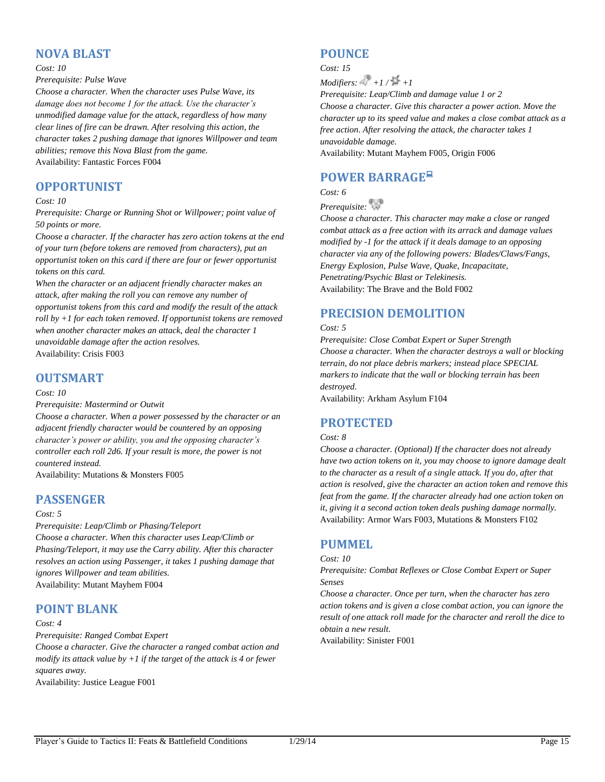## **NOVA BLAST**

#### *Cost: 10*

### *Prerequisite: Pulse Wave*

*Choose a character. When the character uses Pulse Wave, its damage does not become 1 for the attack. Use the character's unmodified damage value for the attack, regardless of how many clear lines of fire can be drawn. After resolving this action, the character takes 2 pushing damage that ignores Willpower and team abilities; remove this Nova Blast from the game.* Availability: Fantastic Forces F004

# **OPPORTUNIST**

### *Cost: 10*

*Prerequisite: Charge or Running Shot or Willpower; point value of 50 points or more.*

*Choose a character. If the character has zero action tokens at the end of your turn (before tokens are removed from characters), put an opportunist token on this card if there are four or fewer opportunist tokens on this card.*

*When the character or an adjacent friendly character makes an attack, after making the roll you can remove any number of opportunist tokens from this card and modify the result of the attack roll by +1 for each token removed. If opportunist tokens are removed when another character makes an attack, deal the character 1 unavoidable damage after the action resolves.* Availability: Crisis F003

# **OUTSMART**

### *Cost: 10*

#### *Prerequisite: Mastermind or Outwit*

*Choose a character. When a power possessed by the character or an adjacent friendly character would be countered by an opposing character's power or ability, you and the opposing character's controller each roll 2d6. If your result is more, the power is not countered instead.*

Availability: Mutations & Monsters F005

## **PASSENGER**

#### *Cost: 5*

*Prerequisite: Leap/Climb or Phasing/Teleport*

*Choose a character. When this character uses Leap/Climb or Phasing/Teleport, it may use the Carry ability. After this character resolves an action using Passenger, it takes 1 pushing damage that ignores Willpower and team abilities.* Availability: Mutant Mayhem F004

# **POINT BLANK**

### *Cost: 4*

*Prerequisite: Ranged Combat Expert*

*Choose a character. Give the character a ranged combat action and modify its attack value by +1 if the target of the attack is 4 or fewer squares away.*

Availability: Justice League F001

## **POUNCE**

*Cost: 15*

 $Modifiers: +1/ +1 +1$ 

*Prerequisite: Leap/Climb and damage value 1 or 2*

*Choose a character. Give this character a power action. Move the character up to its speed value and makes a close combat attack as a free action. After resolving the attack, the character takes 1 unavoidable damage.*

Availability: Mutant Mayhem F005, Origin F006

# **POWER BARRAGE**

*Cost: 6*

*Prerequisite:* 

*Choose a character. This character may make a close or ranged combat attack as a free action with its arrack and damage values modified by -1 for the attack if it deals damage to an opposing character via any of the following powers: Blades/Claws/Fangs, Energy Explosion, Pulse Wave, Quake, Incapacitate, Penetrating/Psychic Blast or Telekinesis.* Availability: The Brave and the Bold F002

# **PRECISION DEMOLITION**

### *Cost: 5*

*Prerequisite: Close Combat Expert or Super Strength Choose a character. When the character destroys a wall or blocking terrain, do not place debris markers; instead place SPECIAL markers to indicate that the wall or blocking terrain has been destroyed.*

Availability: Arkham Asylum F104

# **PROTECTED**

### *Cost: 8*

*Choose a character. (Optional) If the character does not already have two action tokens on it, you may choose to ignore damage dealt to the character as a result of a single attack. If you do, after that action is resolved, give the character an action token and remove this feat from the game. If the character already had one action token on it, giving it a second action token deals pushing damage normally.*  Availability: Armor Wars F003, Mutations & Monsters F102

# **PUMMEL**

### *Cost: 10*

*Prerequisite: Combat Reflexes or Close Combat Expert or Super Senses*

*Choose a character. Once per turn, when the character has zero action tokens and is given a close combat action, you can ignore the result of one attack roll made for the character and reroll the dice to obtain a new result.*

Availability: Sinister F001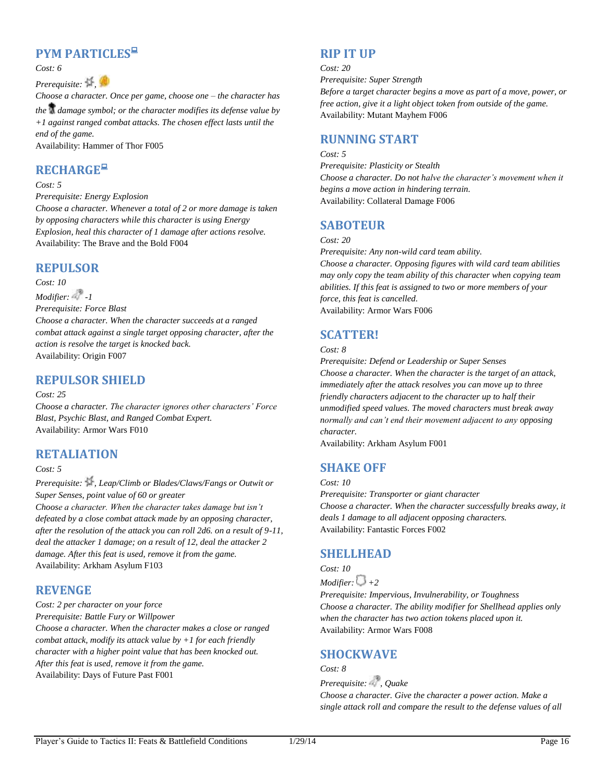# **PYM PARTICLES**

*Cost: 6*

## *Prerequisite:*  $\frac{1}{2}$

*Choose a character. Once per game, choose one – the character has the damage symbol; or the character modifies its defense value by +1 against ranged combat attacks. The chosen effect lasts until the end of the game.* Availability: Hammer of Thor F005

# **RECHARGE**

### *Cost: 5*

*Prerequisite: Energy Explosion*

*Choose a character. Whenever a total of 2 or more damage is taken by opposing characters while this character is using Energy Explosion, heal this character of 1 damage after actions resolve.* Availability: The Brave and the Bold F004

## **REPULSOR**

*Cost: 10*

*Modifier: 2 -1 Prerequisite: Force Blast Choose a character. When the character succeeds at a ranged combat attack against a single target opposing character, after the action is resolve the target is knocked back.* Availability: Origin F007

# **REPULSOR SHIELD**

### *Cost: 25*

*Choose a character. The character ignores other characters' Force Blast, Psychic Blast, and Ranged Combat Expert.* Availability: Armor Wars F010

## **RETALIATION**

### *Cost: 5*

*Prerequisite: , Leap/Climb or Blades/Claws/Fangs or Outwit or Super Senses, point value of 60 or greater*

*Choose a character. When the character takes damage but isn't defeated by a close combat attack made by an opposing character, after the resolution of the attack you can roll 2d6. on a result of 9-11, deal the attacker 1 damage; on a result of 12, deal the attacker 2 damage. After this feat is used, remove it from the game.* Availability: Arkham Asylum F103

# **REVENGE**

*Cost: 2 per character on your force*

*Prerequisite: Battle Fury or Willpower*

*Choose a character. When the character makes a close or ranged combat attack, modify its attack value by +1 for each friendly character with a higher point value that has been knocked out. After this feat is used, remove it from the game.* Availability: Days of Future Past F001

# **RIP IT UP**

### *Cost: 20*

*Prerequisite: Super Strength*

*Before a target character begins a move as part of a move, power, or free action, give it a light object token from outside of the game.* Availability: Mutant Mayhem F006

## **RUNNING START**

### *Cost: 5*

*Prerequisite: Plasticity or Stealth Choose a character. Do not halve the character's movement when it begins a move action in hindering terrain.* Availability: Collateral Damage F006

## **SABOTEUR**

### *Cost: 20*

*Prerequisite: Any non-wild card team ability.*

*Choose a character. Opposing figures with wild card team abilities may only copy the team ability of this character when copying team abilities. If this feat is assigned to two or more members of your force, this feat is cancelled.* Availability: Armor Wars F006

# **SCATTER!**

### *Cost: 8*

*Prerequisite: Defend or Leadership or Super Senses Choose a character. When the character is the target of an attack, immediately after the attack resolves you can move up to three friendly characters adjacent to the character up to half their unmodified speed values. The moved characters must break away normally and can't end their movement adjacent to any opposing character.*

Availability: Arkham Asylum F001

# **SHAKE OFF**

*Cost: 10 Prerequisite: Transporter or giant character Choose a character. When the character successfully breaks away, it deals 1 damage to all adjacent opposing characters.* Availability: Fantastic Forces F002

# **SHELLHEAD**

*Cost: 10 Modifier:*  $\bigcup +2$ *Prerequisite: Impervious, Invulnerability, or Toughness Choose a character. The ability modifier for Shellhead applies only when the character has two action tokens placed upon it.* Availability: Armor Wars F008

# **SHOCKWAVE**

*Cost: 8*

*Prerequisite: , Quake*

*Choose a character. Give the character a power action. Make a single attack roll and compare the result to the defense values of all*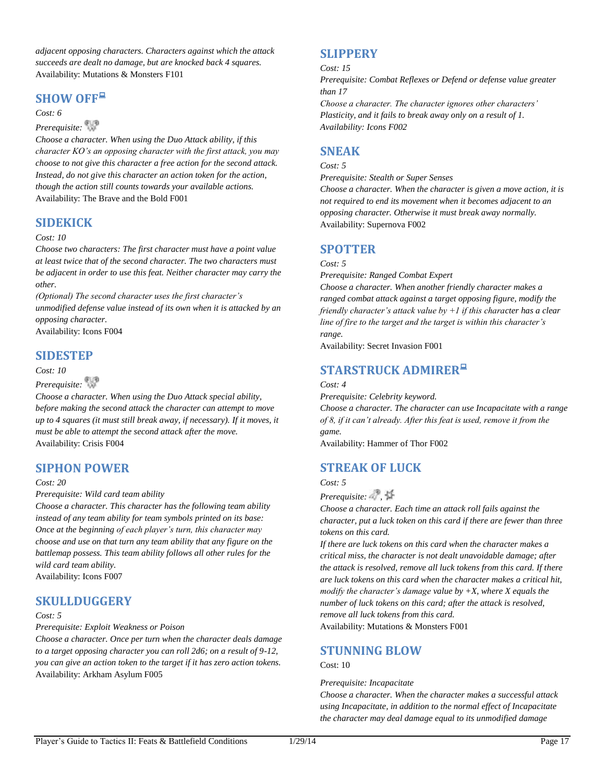*adjacent opposing characters. Characters against which the attack succeeds are dealt no damage, but are knocked back 4 squares.* Availability: Mutations & Monsters F101

## **SHOW OFF**

### *Cost: 6*

## *Prerequisite:*

*Choose a character. When using the Duo Attack ability, if this character KO's an opposing character with the first attack, you may choose to not give this character a free action for the second attack. Instead, do not give this character an action token for the action, though the action still counts towards your available actions.* Availability: The Brave and the Bold F001

## **SIDEKICK**

### *Cost: 10*

*Choose two characters: The first character must have a point value at least twice that of the second character. The two characters must be adjacent in order to use this feat. Neither character may carry the other.*

*(Optional) The second character uses the first character's unmodified defense value instead of its own when it is attacked by an opposing character.*

Availability: Icons F004

## **SIDESTEP**

### *Cost: 10*

## *Prerequisite:*

*Choose a character. When using the Duo Attack special ability, before making the second attack the character can attempt to move up to 4 squares (it must still break away, if necessary). If it moves, it must be able to attempt the second attack after the move.* Availability: Crisis F004

# **SIPHON POWER**

### *Cost: 20*

*Prerequisite: Wild card team ability*

*Choose a character. This character has the following team ability instead of any team ability for team symbols printed on its base: Once at the beginning of each player's turn, this character may choose and use on that turn any team ability that any figure on the battlemap possess. This team ability follows all other rules for the wild card team ability.* Availability: Icons F007

## **SKULLDUGGERY**

### *Cost: 5*

### *Prerequisite: Exploit Weakness or Poison*

*Choose a character. Once per turn when the character deals damage to a target opposing character you can roll 2d6; on a result of 9-12, you can give an action token to the target if it has zero action tokens.* Availability: Arkham Asylum F005

# **SLIPPERY**

#### *Cost: 15*

*Prerequisite: Combat Reflexes or Defend or defense value greater than 17*

*Choose a character. The character ignores other characters' Plasticity, and it fails to break away only on a result of 1. Availability: Icons F002*

# **SNEAK**

### *Cost: 5*

*Prerequisite: Stealth or Super Senses*

*Choose a character. When the character is given a move action, it is not required to end its movement when it becomes adjacent to an opposing character. Otherwise it must break away normally.* Availability: Supernova F002

# **SPOTTER**

### *Cost: 5*

*Prerequisite: Ranged Combat Expert*

*Choose a character. When another friendly character makes a ranged combat attack against a target opposing figure, modify the friendly character's attack value by +1 if this character has a clear line of fire to the target and the target is within this character's range.*

Availability: Secret Invasion F001

# **STARSTRUCK ADMIRER**

### *Cost: 4*

*Prerequisite: Celebrity keyword. Choose a character. The character can use Incapacitate with a range of 8, if it can't already. After this feat is used, remove it from the game.*

Availability: Hammer of Thor F002

# **STREAK OF LUCK**

### *Cost: 5*

*Prerequisite:*  $\frac{1}{2}$ 

*Choose a character. Each time an attack roll fails against the character, put a luck token on this card if there are fewer than three tokens on this card.*

*If there are luck tokens on this card when the character makes a critical miss, the character is not dealt unavoidable damage; after the attack is resolved, remove all luck tokens from this card. If there are luck tokens on this card when the character makes a critical hit, modify the character's damage value by +X, where X equals the number of luck tokens on this card; after the attack is resolved, remove all luck tokens from this card.*

Availability: Mutations & Monsters F001

# **STUNNING BLOW**

### Cost: 10

### *Prerequisite: Incapacitate*

*Choose a character. When the character makes a successful attack using Incapacitate, in addition to the normal effect of Incapacitate the character may deal damage equal to its unmodified damage*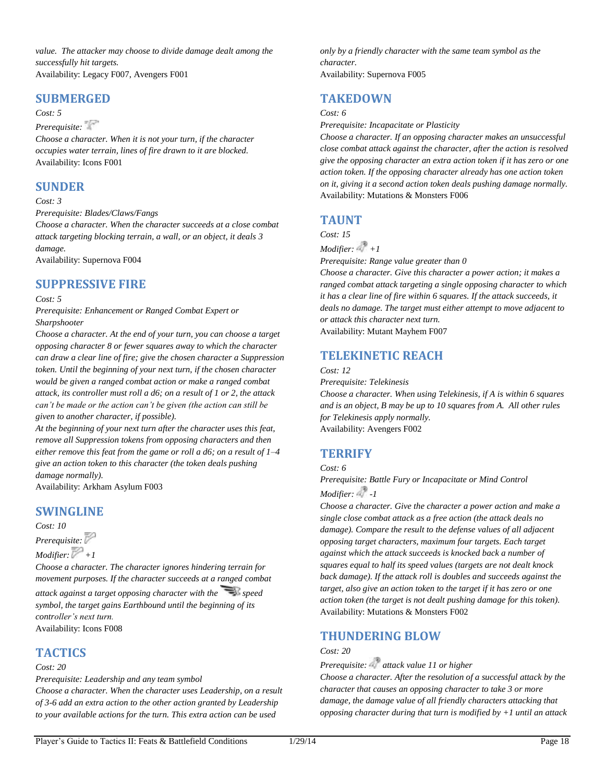*value. The attacker may choose to divide damage dealt among the successfully hit targets.* Availability: Legacy F007, Avengers F001

## **SUBMERGED**

### *Cost: 5*

# *Prerequisite:*

*Choose a character. When it is not your turn, if the character occupies water terrain, lines of fire drawn to it are blocked.* Availability: Icons F001

## **SUNDER**

### *Cost: 3*

*Prerequisite: Blades/Claws/Fangs*

*Choose a character. When the character succeeds at a close combat attack targeting blocking terrain, a wall, or an object, it deals 3 damage.*

Availability: Supernova F004

# **SUPPRESSIVE FIRE**

### *Cost: 5*

*Prerequisite: Enhancement or Ranged Combat Expert or Sharpshooter*

*Choose a character. At the end of your turn, you can choose a target opposing character 8 or fewer squares away to which the character can draw a clear line of fire; give the chosen character a Suppression token. Until the beginning of your next turn, if the chosen character would be given a ranged combat action or make a ranged combat attack, its controller must roll a d6; on a result of 1 or 2, the attack can't be made or the action can't be given (the action can still be given to another character, if possible).*

*At the beginning of your next turn after the character uses this feat, remove all Suppression tokens from opposing characters and then either remove this feat from the game or roll a d6; on a result of 1–4 give an action token to this character (the token deals pushing damage normally).*

Availability: Arkham Asylum F003

# **SWINGLINE**

*Cost: 10*

*Prerequisite: Modifier:*  $\mathbb{P}$  +1

*Choose a character. The character ignores hindering terrain for movement purposes. If the character succeeds at a ranged combat attack against a target opposing character with the* speed *symbol, the target gains Earthbound until the beginning of its controller's next turn.* Availability: Icons F008

## **TACTICS**

### *Cost: 20*

*Prerequisite: Leadership and any team symbol*

*Choose a character. When the character uses Leadership, on a result of 3-6 add an extra action to the other action granted by Leadership to your available actions for the turn. This extra action can be used* 

*only by a friendly character with the same team symbol as the character.* Availability: Supernova F005

## **TAKEDOWN**

### *Cost: 6*

*Prerequisite: Incapacitate or Plasticity*

*Choose a character. If an opposing character makes an unsuccessful close combat attack against the character, after the action is resolved give the opposing character an extra action token if it has zero or one action token. If the opposing character already has one action token on it, giving it a second action token deals pushing damage normally.* Availability: Mutations & Monsters F006

## **TAUNT**

*Cost: 15*

 $Modifier: 4 + 1$ 

*Prerequisite: Range value greater than 0*

*Choose a character. Give this character a power action; it makes a ranged combat attack targeting a single opposing character to which it has a clear line of fire within 6 squares. If the attack succeeds, it deals no damage. The target must either attempt to move adjacent to or attack this character next turn.* Availability: Mutant Mayhem F007

**TELEKINETIC REACH**

### *Cost: 12*

*Prerequisite: Telekinesis*

*Choose a character. When using Telekinesis, if A is within 6 squares and is an object, B may be up to 10 squares from A. All other rules for Telekinesis apply normally.* Availability: Avengers F002

## **TERRIFY**

### *Cost: 6*

*Prerequisite: Battle Fury or Incapacitate or Mind Control Modifier: -1*

*Choose a character. Give the character a power action and make a single close combat attack as a free action (the attack deals no damage). Compare the result to the defense values of all adjacent opposing target characters, maximum four targets. Each target against which the attack succeeds is knocked back a number of squares equal to half its speed values (targets are not dealt knock back damage). If the attack roll is doubles and succeeds against the target, also give an action token to the target if it has zero or one action token (the target is not dealt pushing damage for this token).* Availability: Mutations & Monsters F002

## **THUNDERING BLOW**

## *Cost: 20*

*Prerequisite: attack value 11 or higher*

*Choose a character. After the resolution of a successful attack by the character that causes an opposing character to take 3 or more damage, the damage value of all friendly characters attacking that opposing character during that turn is modified by +1 until an attack*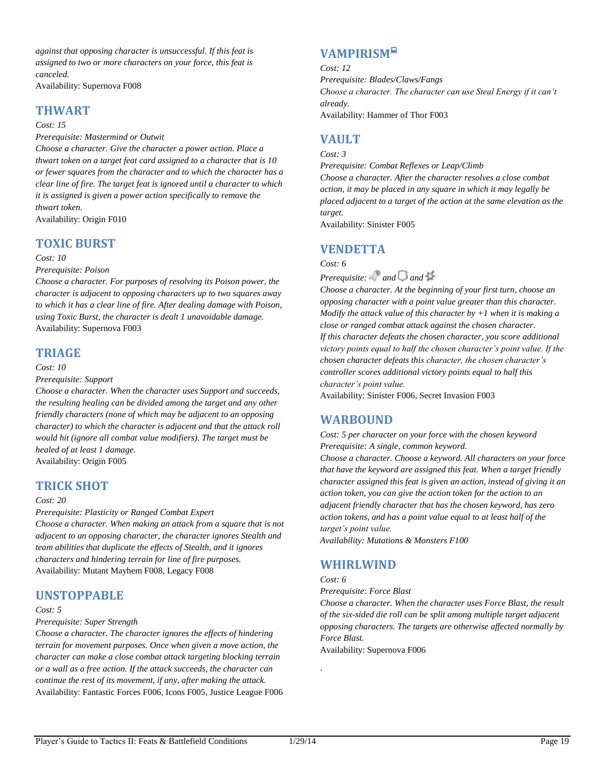*against that opposing character is unsuccessful. If this feat is assigned to two or more characters on your force, this feat is canceled.*

Availability: Supernova F008

### **THWART**

### *Cost: 15*

*Prerequisite: Mastermind or Outwit Choose a character. Give the character a power action. Place a thwart token on a target feat card assigned to a character that is 10 or fewer squares from the character and to which the character has a clear line of fire. The target feat is ignored until a character to which it is assigned is given a power action specifically to remove the thwart token.*

Availability: Origin F010

## **TOXIC BURST**

### *Cost: 10*

*Prerequisite: Poison*

*Choose a character. For purposes of resolving its Poison power, the character is adjacent to opposing characters up to two squares away to which it has a clear line of fire. After dealing damage with Poison, using Toxic Burst, the character is dealt 1 unavoidable damage.* Availability: Supernova F003

## **TRIAGE**

### *Cost: 10*

*Prerequisite: Support*

*Choose a character. When the character uses Support and succeeds, the resulting healing can be divided among the target and any other friendly characters (none of which may be adjacent to an opposing character) to which the character is adjacent and that the attack roll would hit (ignore all combat value modifiers). The target must be healed of at least 1 damage.*

Availability: Origin F005

## **TRICK SHOT**

#### *Cost: 20*

*Prerequisite: Plasticity or Ranged Combat Expert*

*Choose a character. When making an attack from a square that is not adjacent to an opposing character, the character ignores Stealth and team abilities that duplicate the effects of Stealth, and it ignores characters and hindering terrain for line of fire purposes.* Availability: Mutant Mayhem F008, Legacy F008

## **UNSTOPPABLE**

*Cost: 5*

### *Prerequisite: Super Strength*

*Choose a character. The character ignores the effects of hindering terrain for movement purposes. Once when given a move action, the character can make a close combat attack targeting blocking terrain or a wall as a free action. If the attack succeeds, the character can continue the rest of its movement, if any, after making the attack.* Availability: Fantastic Forces F006, Icons F005, Justice League F006

# **VAMPIRISM**

#### *Cost: 12*

*Prerequisite: Blades/Claws/Fangs Choose a character. The character can use Steal Energy if it can't already.* Availability: Hammer of Thor F003

## **VAULT**

*Cost: 3 Prerequisite: Combat Reflexes or Leap/Climb Choose a character. After the character resolves a close combat* 

*action, it may be placed in any square in which it may legally be placed adjacent to a target of the action at the same elevation as the target.*

Availability: Sinister F005

## **VENDETTA**

*Cost: 6*

*Prerequisite:* and and <sup>14</sup>

*Choose a character. At the beginning of your first turn, choose an opposing character with a point value greater than this character. Modify the attack value of this character by +1 when it is making a close or ranged combat attack against the chosen character. If this character defeats the chosen character, you score additional victory points equal to half the chosen character's point value. If the chosen character defeats this character, the chosen character's controller scores additional victory points equal to half this character's point value.*

Availability: Sinister F006, Secret Invasion F003

## **WARBOUND**

*Cost: 5 per character on your force with the chosen keyword Prerequisite: A single, common keyword. Choose a character. Choose a keyword. All characters on your force that have the keyword are assigned this feat. When a target friendly character assigned this feat is given an action, instead of giving it an action token, you can give the action token for the action to an adjacent friendly character that has the chosen keyword, has zero action tokens, and has a point value equal to at least half of the target's point value.*

*Availability: Mutations & Monsters F100*

## **WHIRLWIND**

### *Cost: 6*

.

*Prerequisite: Force Blast*

*Choose a character. When the character uses Force Blast, the result of the six-sided die roll can be split among multiple target adjacent opposing characters. The targets are otherwise affected normally by Force Blast.*

Availability: Supernova F006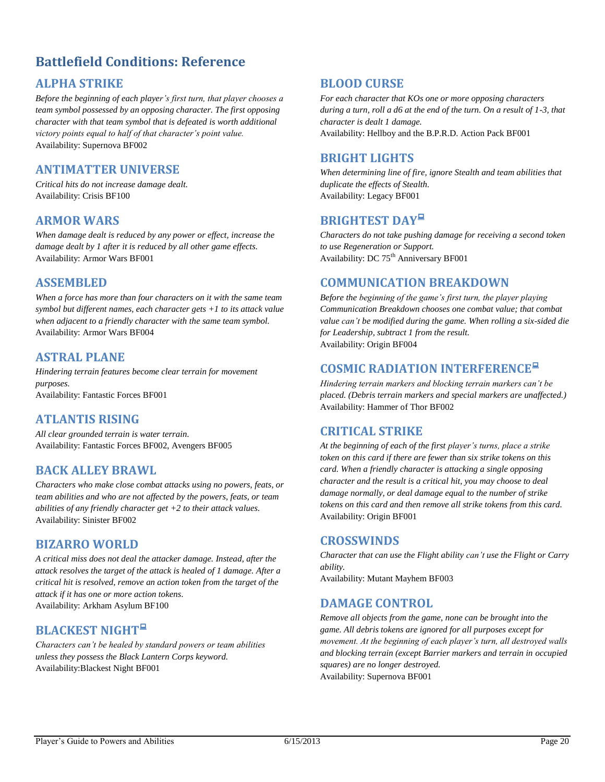# <span id="page-20-0"></span>**Battlefield Conditions: Reference**

# **ALPHA STRIKE**

*Before the beginning of each player's first turn, that player chooses a team symbol possessed by an opposing character. The first opposing character with that team symbol that is defeated is worth additional victory points equal to half of that character's point value.* Availability: Supernova BF002

# **ANTIMATTER UNIVERSE**

*Critical hits do not increase damage dealt.* Availability: Crisis BF100

## **ARMOR WARS**

*When damage dealt is reduced by any power or effect, increase the damage dealt by 1 after it is reduced by all other game effects.* Availability: Armor Wars BF001

## **ASSEMBLED**

*When a force has more than four characters on it with the same team symbol but different names, each character gets +1 to its attack value when adjacent to a friendly character with the same team symbol.* Availability: Armor Wars BF004

## **ASTRAL PLANE**

*Hindering terrain features become clear terrain for movement purposes.* Availability: Fantastic Forces BF001

## **ATLANTIS RISING**

*All clear grounded terrain is water terrain.* Availability: Fantastic Forces BF002, Avengers BF005

## **BACK ALLEY BRAWL**

*Characters who make close combat attacks using no powers, feats, or team abilities and who are not affected by the powers, feats, or team abilities of any friendly character get +2 to their attack values.* Availability: Sinister BF002

## **BIZARRO WORLD**

*A critical miss does not deal the attacker damage. Instead, after the attack resolves the target of the attack is healed of 1 damage. After a critical hit is resolved, remove an action token from the target of the attack if it has one or more action tokens.* Availability: Arkham Asylum BF100

# **BLACKEST NIGHT**

*Characters can't be healed by standard powers or team abilities unless they possess the Black Lantern Corps keyword.* Availability:Blackest Night BF001

## **BLOOD CURSE**

*For each character that KOs one or more opposing characters during a turn, roll a d6 at the end of the turn. On a result of 1-3, that character is dealt 1 damage.* Availability: Hellboy and the B.P.R.D. Action Pack BF001

## **BRIGHT LIGHTS**

*When determining line of fire, ignore Stealth and team abilities that duplicate the effects of Stealth.* Availability: Legacy BF001

## **BRIGHTEST DAY**

*Characters do not take pushing damage for receiving a second token to use Regeneration or Support.* Availability: DC 75<sup>th</sup> Anniversary BF001

## **COMMUNICATION BREAKDOWN**

*Before the beginning of the game's first turn, the player playing Communication Breakdown chooses one combat value; that combat value can't be modified during the game. When rolling a six-sided die for Leadership, subtract 1 from the result.* Availability: Origin BF004

# **COSMIC RADIATION INTERFERENCE**

*Hindering terrain markers and blocking terrain markers can't be placed. (Debris terrain markers and special markers are unaffected.)* Availability: Hammer of Thor BF002

## **CRITICAL STRIKE**

*At the beginning of each of the first player's turns, place a strike token on this card if there are fewer than six strike tokens on this card. When a friendly character is attacking a single opposing character and the result is a critical hit, you may choose to deal damage normally, or deal damage equal to the number of strike tokens on this card and then remove all strike tokens from this card.* Availability: Origin BF001

## **CROSSWINDS**

*Character that can use the Flight ability can't use the Flight or Carry ability.*

Availability: Mutant Mayhem BF003

## **DAMAGE CONTROL**

*Remove all objects from the game, none can be brought into the game. All debris tokens are ignored for all purposes except for movement. At the beginning of each player's turn, all destroyed walls and blocking terrain (except Barrier markers and terrain in occupied squares) are no longer destroyed.* Availability: Supernova BF001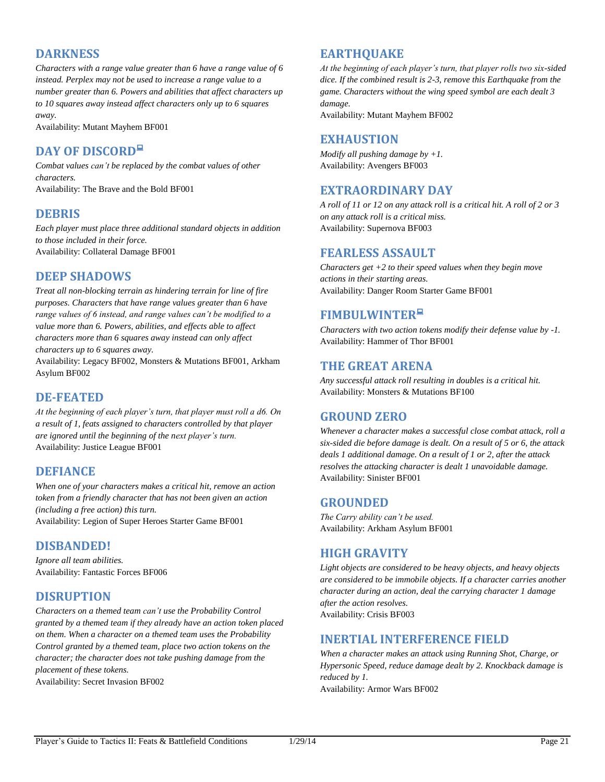# **DARKNESS**

*Characters with a range value greater than 6 have a range value of 6 instead. Perplex may not be used to increase a range value to a number greater than 6. Powers and abilities that affect characters up to 10 squares away instead affect characters only up to 6 squares away.*

Availability: Mutant Mayhem BF001

# **DAY OF DISCORD**

*Combat values can't be replaced by the combat values of other characters.* Availability: The Brave and the Bold BF001

## **DEBRIS**

*Each player must place three additional standard objects in addition to those included in their force.*  Availability: Collateral Damage BF001

## **DEEP SHADOWS**

*Treat all non-blocking terrain as hindering terrain for line of fire purposes. Characters that have range values greater than 6 have range values of 6 instead, and range values can't be modified to a value more than 6. Powers, abilities, and effects able to affect characters more than 6 squares away instead can only affect characters up to 6 squares away.*

Availability: Legacy BF002, Monsters & Mutations BF001, Arkham Asylum BF002

# **DE-FEATED**

*At the beginning of each player's turn, that player must roll a d6. On a result of 1, feats assigned to characters controlled by that player are ignored until the beginning of the next player's turn.* Availability: Justice League BF001

# **DEFIANCE**

*When one of your characters makes a critical hit, remove an action token from a friendly character that has not been given an action (including a free action) this turn.* Availability: Legion of Super Heroes Starter Game BF001

## **DISBANDED!**

*Ignore all team abilities.* Availability: Fantastic Forces BF006

# **DISRUPTION**

*Characters on a themed team can't use the Probability Control granted by a themed team if they already have an action token placed on them. When a character on a themed team uses the Probability Control granted by a themed team, place two action tokens on the character; the character does not take pushing damage from the placement of these tokens.*

Availability: Secret Invasion BF002

# **EARTHQUAKE**

*At the beginning of each player's turn, that player rolls two six-sided dice. If the combined result is 2-3, remove this Earthquake from the game. Characters without the wing speed symbol are each dealt 3 damage.*

Availability: Mutant Mayhem BF002

## **EXHAUSTION**

*Modify all pushing damage by +1.* Availability: Avengers BF003

# **EXTRAORDINARY DAY**

*A roll of 11 or 12 on any attack roll is a critical hit. A roll of 2 or 3 on any attack roll is a critical miss.* Availability: Supernova BF003

## **FEARLESS ASSAULT**

*Characters get +2 to their speed values when they begin move actions in their starting areas.* Availability: Danger Room Starter Game BF001

# **FIMBULWINTER**

*Characters with two action tokens modify their defense value by -1.* Availability: Hammer of Thor BF001

# **THE GREAT ARENA**

*Any successful attack roll resulting in doubles is a critical hit.* Availability: Monsters & Mutations BF100

## **GROUND ZERO**

*Whenever a character makes a successful close combat attack, roll a six-sided die before damage is dealt. On a result of 5 or 6, the attack deals 1 additional damage. On a result of 1 or 2, after the attack resolves the attacking character is dealt 1 unavoidable damage.* Availability: Sinister BF001

## **GROUNDED**

*The Carry ability can't be used.* Availability: Arkham Asylum BF001

# **HIGH GRAVITY**

*Light objects are considered to be heavy objects, and heavy objects are considered to be immobile objects. If a character carries another character during an action, deal the carrying character 1 damage after the action resolves.* Availability: Crisis BF003

# **INERTIAL INTERFERENCE FIELD**

*When a character makes an attack using Running Shot, Charge, or Hypersonic Speed, reduce damage dealt by 2. Knockback damage is reduced by 1.*

Availability: Armor Wars BF002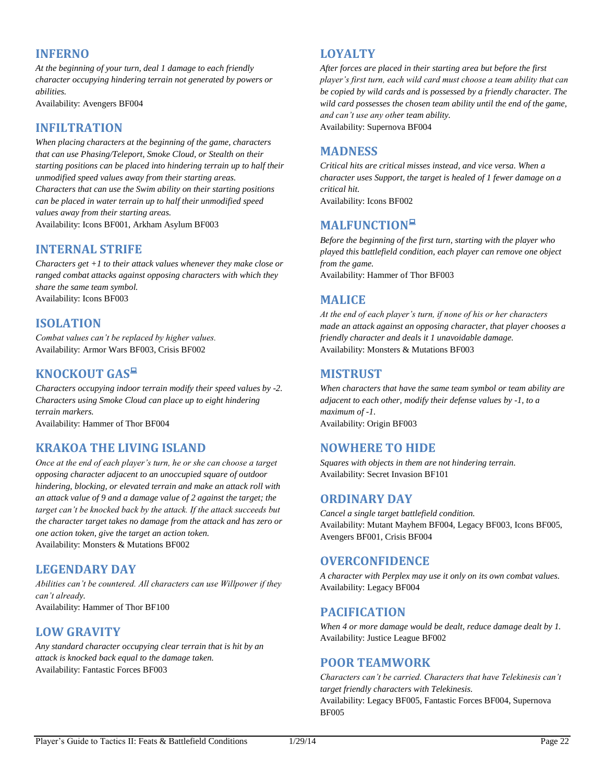## **INFERNO**

*At the beginning of your turn, deal 1 damage to each friendly character occupying hindering terrain not generated by powers or abilities.*

Availability: Avengers BF004

## **INFILTRATION**

*When placing characters at the beginning of the game, characters that can use Phasing/Teleport, Smoke Cloud, or Stealth on their starting positions can be placed into hindering terrain up to half their unmodified speed values away from their starting areas. Characters that can use the Swim ability on their starting positions can be placed in water terrain up to half their unmodified speed values away from their starting areas.* Availability: Icons BF001, Arkham Asylum BF003

## **INTERNAL STRIFE**

*Characters get +1 to their attack values whenever they make close or ranged combat attacks against opposing characters with which they share the same team symbol.* Availability: Icons BF003

## **ISOLATION**

*Combat values can't be replaced by higher values.* Availability: Armor Wars BF003, Crisis BF002

# **KNOCKOUT GAS**

*Characters occupying indoor terrain modify their speed values by -2. Characters using Smoke Cloud can place up to eight hindering terrain markers.* 

Availability: Hammer of Thor BF004

## **KRAKOA THE LIVING ISLAND**

*Once at the end of each player's turn, he or she can choose a target opposing character adjacent to an unoccupied square of outdoor hindering, blocking, or elevated terrain and make an attack roll with an attack value of 9 and a damage value of 2 against the target; the target can't be knocked back by the attack. If the attack succeeds but the character target takes no damage from the attack and has zero or one action token, give the target an action token.* Availability: Monsters & Mutations BF002

## **LEGENDARY DAY**

*Abilities can't be countered. All characters can use Willpower if they can't already.* Availability: Hammer of Thor BF100

## **LOW GRAVITY**

*Any standard character occupying clear terrain that is hit by an attack is knocked back equal to the damage taken.* Availability: Fantastic Forces BF003

## **LOYALTY**

*After forces are placed in their starting area but before the first player's first turn, each wild card must choose a team ability that can be copied by wild cards and is possessed by a friendly character. The wild card possesses the chosen team ability until the end of the game, and can't use any other team ability.* Availability: Supernova BF004

## **MADNESS**

*Critical hits are critical misses instead, and vice versa. When a character uses Support, the target is healed of 1 fewer damage on a critical hit.*

Availability: Icons BF002

# **MALFUNCTION**

*Before the beginning of the first turn, starting with the player who played this battlefield condition, each player can remove one object from the game.* Availability: Hammer of Thor BF003

## **MALICE**

*At the end of each player's turn, if none of his or her characters made an attack against an opposing character, that player chooses a friendly character and deals it 1 unavoidable damage.* Availability: Monsters & Mutations BF003

## **MISTRUST**

*When characters that have the same team symbol or team ability are adjacent to each other, modify their defense values by -1, to a maximum of -1.* Availability: Origin BF003

## **NOWHERE TO HIDE**

*Squares with objects in them are not hindering terrain.* Availability: Secret Invasion BF101

## **ORDINARY DAY**

*Cancel a single target battlefield condition.* Availability: Mutant Mayhem BF004, Legacy BF003, Icons BF005, Avengers BF001, Crisis BF004

## **OVERCONFIDENCE**

*A character with Perplex may use it only on its own combat values.* Availability: Legacy BF004

## **PACIFICATION**

*When 4 or more damage would be dealt, reduce damage dealt by 1.* Availability: Justice League BF002

## **POOR TEAMWORK**

*Characters can't be carried. Characters that have Telekinesis can't target friendly characters with Telekinesis.* Availability: Legacy BF005, Fantastic Forces BF004, Supernova BF005